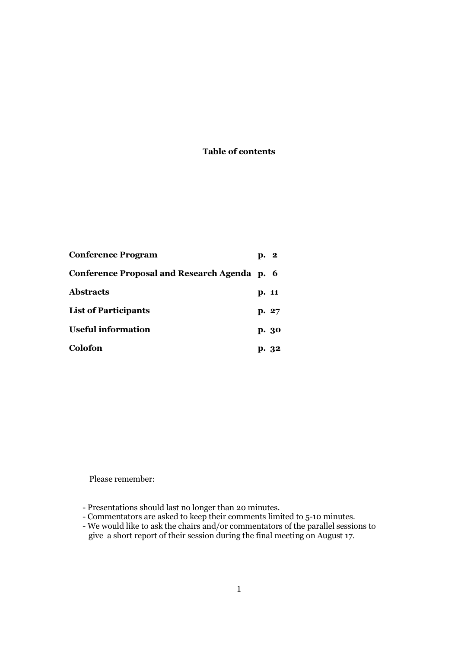## Table of contents

| <b>Conference Program</b>                    | p. 2 |       |
|----------------------------------------------|------|-------|
| Conference Proposal and Research Agenda p. 6 |      |       |
| <b>Abstracts</b>                             |      | p. 11 |
| <b>List of Participants</b>                  |      | p. 27 |
| <b>Useful information</b>                    |      | p. 30 |
| Colofon                                      |      | p. 32 |

Please remember:

- Presentations should last no longer than 20 minutes.

- Commentators are asked to keep their comments limited to 5-10 minutes.
- We would like to ask the chairs and/or commentators of the parallel sessions to give a short report of their session during the final meeting on August 17.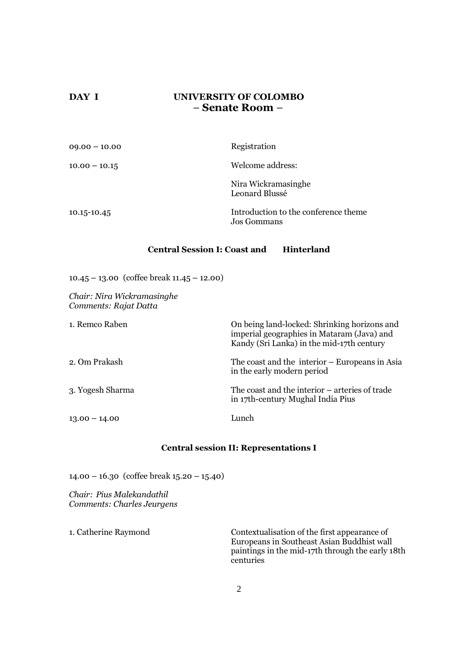## DAY I UNIVERSITY OF COLOMBO – Senate Room –

| $09.00 - 10.00$ | Registration                                               |
|-----------------|------------------------------------------------------------|
| $10.00 - 10.15$ | Welcome address:                                           |
|                 | Nira Wickramasinghe<br>Leonard Blussé                      |
| 10.15-10.45     | Introduction to the conference theme<br><b>Jos Gommans</b> |

## Central Session I: Coast and Hinterland

10.45 – 13.00 (coffee break 11.45 – 12.00)

Chair: Nira Wickramasinghe Comments: Rajat Datta

| 1. Remco Raben   | On being land-locked: Shrinking horizons and<br>imperial geographies in Mataram (Java) and<br>Kandy (Sri Lanka) in the mid-17th century |
|------------------|-----------------------------------------------------------------------------------------------------------------------------------------|
| 2. Om Prakash    | The coast and the interior – Europeans in Asia<br>in the early modern period                                                            |
| 3. Yogesh Sharma | The coast and the interior – arteries of trade<br>in 17th-century Mughal India Pius                                                     |
| $13.00 - 14.00$  | Lunch                                                                                                                                   |

### Central session II: Representations I

14.00 – 16.30 (coffee break 15.20 – 15.40)

Chair: Pius Malekandathil Comments: Charles Jeurgens

1. Catherine Raymond Contextualisation of the first appearance of Europeans in Southeast Asian Buddhist wall paintings in the mid-17th through the early 18th centuries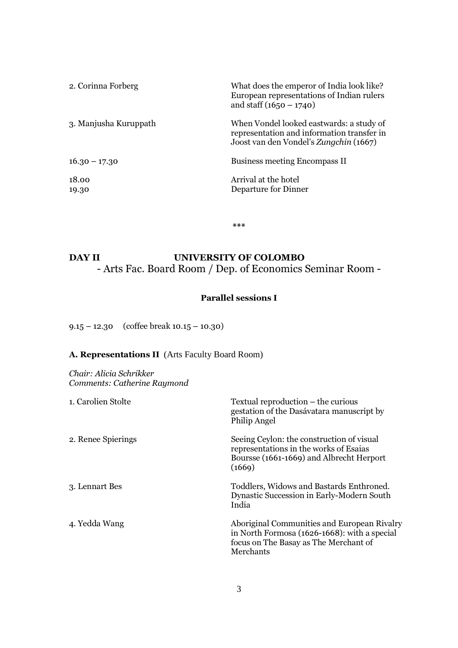| 2. Corinna Forberg    | What does the emperor of India look like?<br>European representations of Indian rulers<br>and staff $(1650 - 1740)$              |
|-----------------------|----------------------------------------------------------------------------------------------------------------------------------|
| 3. Manjusha Kuruppath | When Vondel looked eastwards: a study of<br>representation and information transfer in<br>Joost van den Vondel's Zungchin (1667) |
| $16.30 - 17.30$       | <b>Business meeting Encompass II</b>                                                                                             |
| 18.00<br>19.30        | Arrival at the hotel<br>Departure for Dinner                                                                                     |

\*\*\*

# DAY II UNIVERSITY OF COLOMBO - Arts Fac. Board Room / Dep. of Economics Seminar Room -

## Parallel sessions I

9.15 – 12.30 (coffee break 10.15 – 10.30)

## A. Representations II(Arts Faculty Board Room)

Chair: Alicia Schrikker Comments: Catherine Raymond

| 1. Carolien Stolte | Textual reproduction – the curious<br>gestation of the Dasávatara manuscript by<br>Philip Angel                                                   |
|--------------------|---------------------------------------------------------------------------------------------------------------------------------------------------|
| 2. Renee Spierings | Seeing Ceylon: the construction of visual<br>representations in the works of Esaias<br>Boursse (1661-1669) and Albrecht Herport<br>(1669)         |
| 3. Lennart Bes     | Toddlers, Widows and Bastards Enthroned.<br>Dynastic Succession in Early-Modern South<br>India                                                    |
| 4. Yedda Wang      | Aboriginal Communities and European Rivalry<br>in North Formosa (1626-1668): with a special<br>focus on The Basay as The Merchant of<br>Merchants |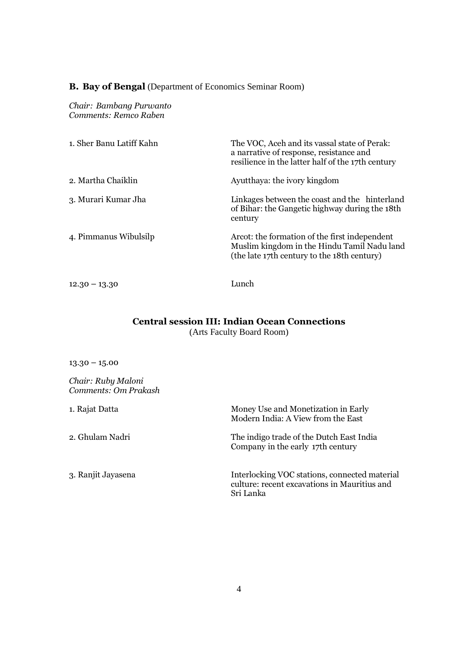## B. Bay of Bengal (Department of Economics Seminar Room)

Chair: Bambang Purwanto Comments: Remco Raben

| 1. Sher Banu Latiff Kahn | The VOC, Aceh and its vassal state of Perak:<br>a narrative of response, resistance and<br>resilience in the latter half of the 17th century |
|--------------------------|----------------------------------------------------------------------------------------------------------------------------------------------|
| 2. Martha Chaiklin       | Ayutthaya: the ivory kingdom                                                                                                                 |
| 3. Murari Kumar Jha      | Linkages between the coast and the hinterland<br>of Bihar: the Gangetic highway during the 18th<br>century                                   |
| 4. Pimmanus Wibulsilp    | Arcot: the formation of the first independent<br>Muslim kingdom in the Hindu Tamil Nadu land<br>(the late 17th century to the 18th century)  |
| $12.30 - 13.30$          | Lunch                                                                                                                                        |

# Central session III: Indian Ocean Connections

(Arts Faculty Board Room)

 $13.30 - 15.00$ 

Chair: Ruby Maloni Comments: Om Prakash

| 1. Rajat Datta     | Money Use and Monetization in Early<br>Modern India: A View from the East                                  |
|--------------------|------------------------------------------------------------------------------------------------------------|
| 2. Ghulam Nadri    | The indigo trade of the Dutch East India<br>Company in the early 17th century                              |
| 3. Ranjit Jayasena | Interlocking VOC stations, connected material<br>culture: recent excavations in Mauritius and<br>Sri Lanka |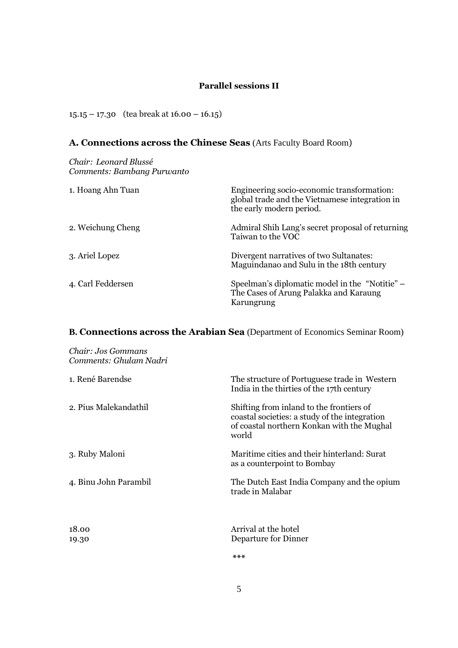## Parallel sessions II

15.15 – 17.30 (tea break at 16.00 – 16.15)

## A. Connections across the Chinese Seas (Arts Faculty Board Room)

### Chair: Leonard Blussé Comments: Bambang Purwanto

| 1. Hoang Ahn Tuan | Engineering socio-economic transformation:<br>global trade and the Vietnamese integration in<br>the early modern period. |
|-------------------|--------------------------------------------------------------------------------------------------------------------------|
| 2. Weichung Cheng | Admiral Shih Lang's secret proposal of returning<br>Taiwan to the VOC                                                    |
| 3. Ariel Lopez    | Divergent narratives of two Sultanates:<br>Maguindanao and Sulu in the 18th century                                      |
| 4. Carl Feddersen | Speelman's diplomatic model in the "Notitie" –<br>The Cases of Arung Palakka and Karaung<br>Karungrung                   |

## **B.** Connections across the Arabian Sea (Department of Economics Seminar Room)

| Chair: Jos Gommans<br>Comments: Ghulam Nadri |                                                                                                                                                  |
|----------------------------------------------|--------------------------------------------------------------------------------------------------------------------------------------------------|
| 1. René Barendse                             | The structure of Portuguese trade in Western<br>India in the thirties of the 17th century                                                        |
| 2. Pius Malekandathil                        | Shifting from inland to the frontiers of<br>coastal societies: a study of the integration<br>of coastal northern Konkan with the Mughal<br>world |
| 3. Ruby Maloni                               | Maritime cities and their hinterland: Surat<br>as a counterpoint to Bombay                                                                       |
| 4. Binu John Parambil                        | The Dutch East India Company and the opium<br>trade in Malabar                                                                                   |
| 18.00<br>19.30                               | Arrival at the hotel<br>Departure for Dinner                                                                                                     |
|                                              | $***$                                                                                                                                            |

5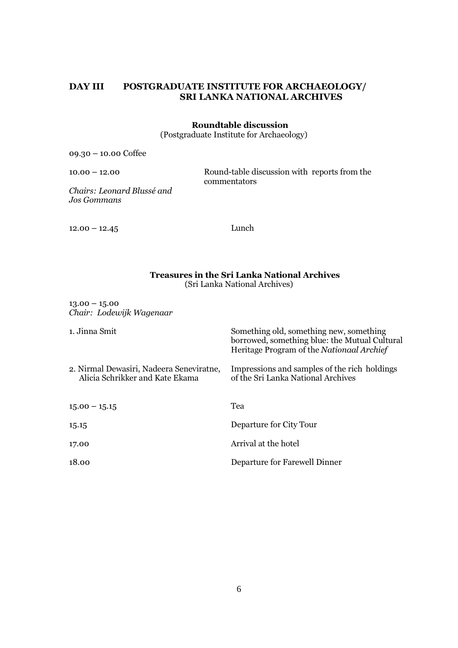## DAY III POSTGRADUATE INSTITUTE FOR ARCHAEOLOGY/ SRI LANKA NATIONAL ARCHIVES

## Roundtable discussion

(Postgraduate Institute for Archaeology)

09.30 – 10.00 Coffee

10.00 – 12.00 Round-table discussion with reports from the commentators

Chairs: Leonard Blussé and Jos Gommans

12.00 – 12.45 Lunch

#### Treasures in the Sri Lanka National Archives (Sri Lanka National Archives)

 $13.00 - 15.00$ Chair: Lodewijk Wagenaar

1. Jinna Smit Something old, something new, something

|                                                                             | borrowed, something blue: the Mutual Cultural<br>Heritage Program of the Nationaal Archief |
|-----------------------------------------------------------------------------|--------------------------------------------------------------------------------------------|
| 2. Nirmal Dewasiri, Nadeera Seneviratne,<br>Alicia Schrikker and Kate Ekama | Impressions and samples of the rich holdings<br>of the Sri Lanka National Archives         |
| $15.00 - 15.15$                                                             | Tea                                                                                        |
| 15.15                                                                       | Departure for City Tour                                                                    |
| 17.00                                                                       | Arrival at the hotel                                                                       |
| 18.00                                                                       | Departure for Farewell Dinner                                                              |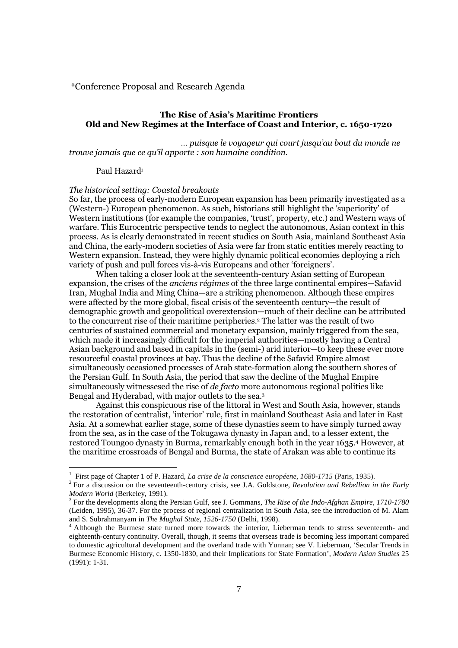\*Conference Proposal and Research Agenda

## The Rise of Asia's Maritime Frontiers Old and New Regimes at the Interface of Coast and Interior, c. 1650-1720

 … puisque le voyageur qui court jusqu'au bout du monde ne trouve jamais que ce qu'il apporte : son humaine condition.

#### Paul Hazard<sup>1</sup>

#### The historical setting: Coastal breakouts

So far, the process of early-modern European expansion has been primarily investigated as a (Western-) European phenomenon. As such, historians still highlight the 'superiority' of Western institutions (for example the companies, 'trust', property, etc.) and Western ways of warfare. This Eurocentric perspective tends to neglect the autonomous, Asian context in this process. As is clearly demonstrated in recent studies on South Asia, mainland Southeast Asia and China, the early-modern societies of Asia were far from static entities merely reacting to Western expansion. Instead, they were highly dynamic political economies deploying a rich variety of push and pull forces vis-à-vis Europeans and other 'foreigners'.

When taking a closer look at the seventeenth-century Asian setting of European expansion, the crises of the anciens régimes of the three large continental empires—Safavid Iran, Mughal India and Ming China—are a striking phenomenon. Although these empires were affected by the more global, fiscal crisis of the seventeenth century—the result of demographic growth and geopolitical overextension—much of their decline can be attributed to the concurrent rise of their maritime peripheries.<sup>2</sup> The latter was the result of two centuries of sustained commercial and monetary expansion, mainly triggered from the sea, which made it increasingly difficult for the imperial authorities—mostly having a Central Asian background and based in capitals in the (semi-) arid interior—to keep these ever more resourceful coastal provinces at bay. Thus the decline of the Safavid Empire almost simultaneously occasioned processes of Arab state-formation along the southern shores of the Persian Gulf. In South Asia, the period that saw the decline of the Mughal Empire simultaneously witnessesed the rise of de facto more autonomous regional polities like Bengal and Hyderabad, with major outlets to the sea.<sup>3</sup>

Against this conspicuous rise of the littoral in West and South Asia, however, stands the restoration of centralist, 'interior' rule, first in mainland Southeast Asia and later in East Asia. At a somewhat earlier stage, some of these dynasties seem to have simply turned away from the sea, as in the case of the Tokugawa dynasty in Japan and, to a lesser extent, the restored Toungoo dynasty in Burma, remarkably enough both in the year 1635.4 However, at the maritime crossroads of Bengal and Burma, the state of Arakan was able to continue its

 1 First page of Chapter 1 of P. Hazard, *La crise de la conscience européene, 1680-1715* (Paris, 1935).

<sup>2</sup> For a discussion on the seventeenth-century crisis, see J.A. Goldstone, *Revolution and Rebellion in the Early Modern World* (Berkeley, 1991).

<sup>&</sup>lt;sup>3</sup> For the developments along the Persian Gulf, see J. Gommans, *The Rise of the Indo-Afghan Empire, 1710-1780* (Leiden, 1995), 36-37. For the process of regional centralization in South Asia, see the introduction of M. Alam and S. Subrahmanyam in *The Mughal State, 1526-1750* (Delhi, 1998).

<sup>&</sup>lt;sup>4</sup> Although the Burmese state turned more towards the interior, Lieberman tends to stress seventeenth- and eighteenth-century continuity. Overall, though, it seems that overseas trade is becoming less important compared to domestic agricultural development and the overland trade with Yunnan; see V. Lieberman, 'Secular Trends in Burmese Economic History, c. 1350-1830, and their Implications for State Formation', *Modern Asian Studies* 25 (1991): 1-31.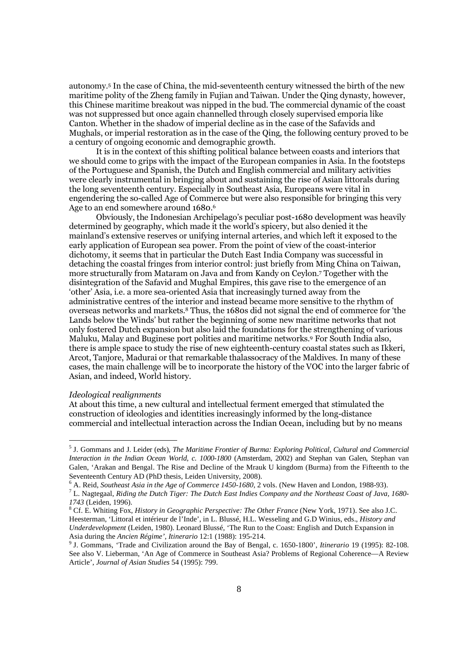autonomy.<sup>5</sup> In the case of China, the mid-seventeenth century witnessed the birth of the new maritime polity of the Zheng family in Fujian and Taiwan. Under the Qing dynasty, however, this Chinese maritime breakout was nipped in the bud. The commercial dynamic of the coast was not suppressed but once again channelled through closely supervised emporia like Canton. Whether in the shadow of imperial decline as in the case of the Safavids and Mughals, or imperial restoration as in the case of the Qing, the following century proved to be a century of ongoing economic and demographic growth.

It is in the context of this shifting political balance between coasts and interiors that we should come to grips with the impact of the European companies in Asia. In the footsteps of the Portuguese and Spanish, the Dutch and English commercial and military activities were clearly instrumental in bringing about and sustaining the rise of Asian littorals during the long seventeenth century. Especially in Southeast Asia, Europeans were vital in engendering the so-called Age of Commerce but were also responsible for bringing this very Age to an end somewhere around 1680.<sup>6</sup>

Obviously, the Indonesian Archipelago's peculiar post-1680 development was heavily determined by geography, which made it the world's spicery, but also denied it the mainland's extensive reserves or unifying internal arteries, and which left it exposed to the early application of European sea power. From the point of view of the coast-interior dichotomy, it seems that in particular the Dutch East India Company was successful in detaching the coastal fringes from interior control: just briefly from Ming China on Taiwan, more structurally from Mataram on Java and from Kandy on Ceylon.<sup>7</sup> Together with the disintegration of the Safavid and Mughal Empires, this gave rise to the emergence of an 'other' Asia, i.e. a more sea-oriented Asia that increasingly turned away from the administrative centres of the interior and instead became more sensitive to the rhythm of overseas networks and markets.8 Thus, the 1680s did not signal the end of commerce for 'the Lands below the Winds' but rather the beginning of some new maritime networks that not only fostered Dutch expansion but also laid the foundations for the strengthening of various Maluku, Malay and Buginese port polities and maritime networks.<sup>9</sup> For South India also, there is ample space to study the rise of new eighteenth-century coastal states such as Ikkeri, Arcot, Tanjore, Madurai or that remarkable thalassocracy of the Maldives. In many of these cases, the main challenge will be to incorporate the history of the VOC into the larger fabric of Asian, and indeed, World history.

#### Ideological realignments

At about this time, a new cultural and intellectual ferment emerged that stimulated the construction of ideologies and identities increasingly informed by the long-distance commercial and intellectual interaction across the Indian Ocean, including but by no means

<sup>5</sup> J. Gommans and J. Leider (eds), *The Maritime Frontier of Burma: Exploring Political, Cultural and Commercial Interaction in the Indian Ocean World, c. 1000-1800* (Amsterdam, 2002) and Stephan van Galen, Stephan van Galen, 'Arakan and Bengal. The Rise and Decline of the Mrauk U kingdom (Burma) from the Fifteenth to the Seventeenth Century AD (PhD thesis, Leiden University, 2008).

<sup>6</sup> A. Reid, *Southeast Asia in the Age of Commerce 1450-1680*, 2 vols. (New Haven and London, 1988-93).

<sup>7</sup> L. Nagtegaal, *Riding the Dutch Tiger: The Dutch East Indies Company and the Northeast Coast of Java, 1680- 1743* (Leiden, 1996).

<sup>8</sup> Cf. E. Whiting Fox, *History in Geographic Perspective: The Other France* (New York, 1971). See also J.C. Heesterman, 'Littoral et intérieur de l'Inde', in L. Blussé, H.L. Wesseling and G.D Winius, eds., *History and Underdevelopment* (Leiden, 1980). Leonard Blussé, 'The Run to the Coast: English and Dutch Expansion in Asia during the *Ancien Régime', Itinerario* 12:1 (1988): 195-214.

<sup>9</sup> J. Gommans, 'Trade and Civilization around the Bay of Bengal, c. 1650-1800', *Itinerario* 19 (1995): 82-108. See also V. Lieberman, 'An Age of Commerce in Southeast Asia? Problems of Regional Coherence—A Review Article', *Journal of Asian Studies* 54 (1995): 799.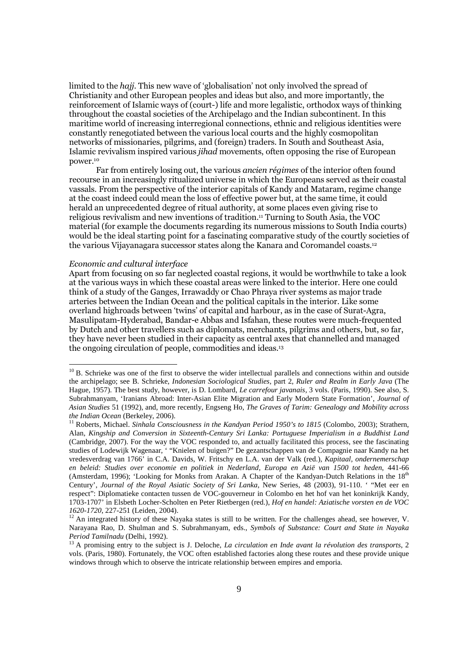limited to the hajj. This new wave of 'globalisation' not only involved the spread of Christianity and other European peoples and ideas but also, and more importantly, the reinforcement of Islamic ways of (court-) life and more legalistic, orthodox ways of thinking throughout the coastal societies of the Archipelago and the Indian subcontinent. In this maritime world of increasing interregional connections, ethnic and religious identities were constantly renegotiated between the various local courts and the highly cosmopolitan networks of missionaries, pilgrims, and (foreign) traders. In South and Southeast Asia, Islamic revivalism inspired various jihad movements, often opposing the rise of European power.<sup>10</sup>

Far from entirely losing out, the various *ancien régimes* of the interior often found recourse in an increasingly ritualized universe in which the Europeans served as their coastal vassals. From the perspective of the interior capitals of Kandy and Mataram, regime change at the coast indeed could mean the loss of effective power but, at the same time, it could herald an unprecedented degree of ritual authority, at some places even giving rise to religious revivalism and new inventions of tradition.11 Turning to South Asia, the VOC material (for example the documents regarding its numerous missions to South India courts) would be the ideal starting point for a fascinating comparative study of the courtly societies of the various Vijayanagara successor states along the Kanara and Coromandel coasts.<sup>12</sup>

#### Economic and cultural interface

 $\overline{a}$ 

Apart from focusing on so far neglected coastal regions, it would be worthwhile to take a look at the various ways in which these coastal areas were linked to the interior. Here one could think of a study of the Ganges, Irrawaddy or Chao Phraya river systems as major trade arteries between the Indian Ocean and the political capitals in the interior. Like some overland highroads between 'twins' of capital and harbour, as in the case of Surat-Agra, Masulipatam-Hyderabad, Bandar-e Abbas and Isfahan, these routes were much-frequented by Dutch and other travellers such as diplomats, merchants, pilgrims and others, but, so far, they have never been studied in their capacity as central axes that channelled and managed the ongoing circulation of people, commodities and ideas.<sup>13</sup>

 $10$  B. Schrieke was one of the first to observe the wider intellectual parallels and connections within and outside the archipelago; see B. Schrieke, *Indonesian Sociological Studies,* part 2, *Ruler and Realm in Early Java* (The Hague, 1957). The best study, however, is D. Lombard, *Le carrefour javanais,* 3 vols. (Paris, 1990). See also, S. Subrahmanyam, 'Iranians Abroad: Inter-Asian Elite Migration and Early Modern State Formation', *Journal of Asian Studies* 51 (1992), and, more recently, Engseng Ho, *The Graves of Tarim: Genealogy and Mobility across the Indian Ocean* (Berkeley, 2006).

<sup>&</sup>lt;sup>11</sup> Roberts, Michael. *Sinhala Consciousness in the Kandyan Period 1950's to 1815* (Colombo, 2003); Strathern, Alan, *Kingship and Conversion in Sixteenth-Century Sri Lanka: Portuguese Imperialism in a Buddhist Land*  (Cambridge, 2007). For the way the VOC responded to, and actually facilitated this process, see the fascinating studies of Lodewijk Wagenaar, ' "Knielen of buigen?" De gezantschappen van de Compagnie naar Kandy na het vredesverdrag van 1766' in C.A. Davids, W. Fritschy en L.A. van der Valk (red.), *Kapitaal, ondernemerschap en beleid: Studies over economie en politiek in Nederland, Europa en Azië van 1500 tot heden*, 441-66 (Amsterdam, 1996); 'Looking for Monks from Arakan. A Chapter of the Kandyan-Dutch Relations in the  $18<sup>th</sup>$ Century', *Journal of the Royal Asiatic Society of Sri Lanka*, New Series, 48 (2003), 91-110. ' "Met eer en respect": Diplomatieke contacten tussen de VOC-gouverneur in Colombo en het hof van het koninkrijk Kandy, 1703-1707' in Elsbeth Locher-Scholten en Peter Rietbergen (red.), *Hof en handel: Aziatische vorsten en de VOC 1620-1720*, 227-251 (Leiden, 2004).

 $12$  An integrated history of these Nayaka states is still to be written. For the challenges ahead, see however, V. Narayana Rao, D. Shulman and S. Subrahmanyam, eds., *Symbols of Substance: Court and State in Nayaka Period Tamilnadu* (Delhi, 1992).

<sup>&</sup>lt;sup>13</sup> A promising entry to the subject is J. Deloche, *La circulation en Inde avant la révolution des transports*, 2 vols. (Paris, 1980). Fortunately, the VOC often established factories along these routes and these provide unique windows through which to observe the intricate relationship between empires and emporia.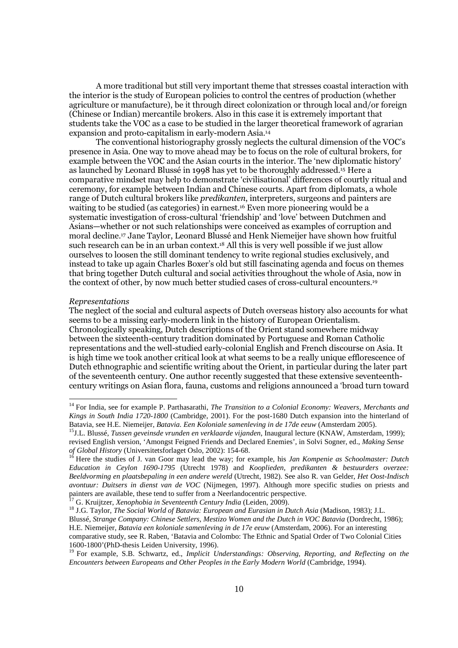A more traditional but still very important theme that stresses coastal interaction with the interior is the study of European policies to control the centres of production (whether agriculture or manufacture), be it through direct colonization or through local and/or foreign (Chinese or Indian) mercantile brokers. Also in this case it is extremely important that students take the VOC as a case to be studied in the larger theoretical framework of agrarian expansion and proto-capitalism in early-modern Asia.<sup>14</sup>

The conventional historiography grossly neglects the cultural dimension of the VOC's presence in Asia. One way to move ahead may be to focus on the role of cultural brokers, for example between the VOC and the Asian courts in the interior. The 'new diplomatic history' as launched by Leonard Blussé in 1998 has yet to be thoroughly addressed.15 Here a comparative mindset may help to demonstrate 'civilisational' differences of courtly ritual and ceremony, for example between Indian and Chinese courts. Apart from diplomats, a whole range of Dutch cultural brokers like predikanten, interpreters, surgeons and painters are waiting to be studied (as categories) in earnest.<sup>16</sup> Even more pioneering would be a systematic investigation of cross-cultural 'friendship' and 'love' between Dutchmen and Asians—whether or not such relationships were conceived as examples of corruption and moral decline.17 Jane Taylor, Leonard Blussé and Henk Niemeijer have shown how fruitful such research can be in an urban context.<sup>18</sup> All this is very well possible if we just allow ourselves to loosen the still dominant tendency to write regional studies exclusively, and instead to take up again Charles Boxer's old but still fascinating agenda and focus on themes that bring together Dutch cultural and social activities throughout the whole of Asia, now in the context of other, by now much better studied cases of cross-cultural encounters.<sup>19</sup>

#### Representations

l

The neglect of the social and cultural aspects of Dutch overseas history also accounts for what seems to be a missing early-modern link in the history of European Orientalism. Chronologically speaking, Dutch descriptions of the Orient stand somewhere midway between the sixteenth-century tradition dominated by Portuguese and Roman Catholic representations and the well-studied early-colonial English and French discourse on Asia. It is high time we took another critical look at what seems to be a really unique efflorescence of Dutch ethnographic and scientific writing about the Orient, in particular during the later part of the seventeenth century. One author recently suggested that these extensive seventeenthcentury writings on Asian flora, fauna, customs and religions announced a 'broad turn toward

<sup>17</sup> G. Kruijtzer, *Xenophobia in Seventeenth Century India* (Leiden, 2009).

<sup>14</sup> For India, see for example P. Parthasarathi, *The Transition to a Colonial Economy: Weavers, Merchants and Kings in South India 1720-1800* (Cambridge, 2001). For the post-1680 Dutch expansion into the hinterland of Batavia, see H.E. Niemeijer, *Batavia. Een Koloniale samenleving in de 17de eeuw* (Amsterdam 2005).

<sup>15</sup>J.L. Blussé, *Tussen geveinsde vrunden en verklaarde vijanden*, Inaugural lecture (KNAW, Amsterdam, 1999); revised English version, 'Amongst Feigned Friends and Declared Enemies', in Solvi Sogner, ed., *Making Sense of Global History* (Universitetsforlaget Oslo, 2002): 154-68.

<sup>&</sup>lt;sup>16</sup> Here the studies of J. van Goor may lead the way; for example, his *Jan Kompenie as Schoolmaster: Dutch Education in Ceylon 1690-1795* (Utrecht 1978) and *Kooplieden, predikanten & bestuurders overzee: Beeldvorming en plaatsbepaling in een andere wereld* (Utrecht, 1982). See also R. van Gelder, *Het Oost-Indisch avontuur: Duitsers in dienst van de VOC* (Nijmegen, 1997). Although more specific studies on priests and painters are available, these tend to suffer from a Neerlandocentric perspective.

<sup>18</sup> J.G. Taylor, *The Social World of Batavia: European and Eurasian in Dutch Asia* (Madison, 1983); J.L. Blussé, *Strange Company: Chinese Settlers, Mestizo Women and the Dutch in VOC Batavia* (Dordrecht, 1986); H.E. Niemeijer, *Batavia een koloniale samenleving in de 17e eeuw* (Amsterdam, 2006). For an interesting comparative study, see R. Raben, 'Batavia and Colombo: The Ethnic and Spatial Order of Two Colonial Cities 1600-1800'(PhD-thesis Leiden University, 1996).

<sup>19</sup> For example, S.B. Schwartz, ed., *Implicit Understandings: Observing, Reporting, and Reflecting on the Encounters between Europeans and Other Peoples in the Early Modern World* (Cambridge, 1994).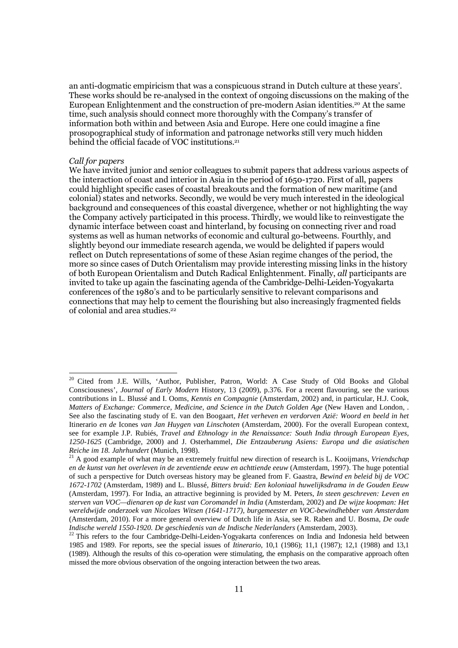an anti-dogmatic empiricism that was a conspicuous strand in Dutch culture at these years'. These works should be re-analysed in the context of ongoing discussions on the making of the European Enlightenment and the construction of pre-modern Asian identities.20 At the same time, such analysis should connect more thoroughly with the Company's transfer of information both within and between Asia and Europe. Here one could imagine a fine prosopographical study of information and patronage networks still very much hidden behind the official facade of VOC institutions.<sup>21</sup>

#### Call for papers

 $\overline{a}$ 

We have invited junior and senior colleagues to submit papers that address various aspects of the interaction of coast and interior in Asia in the period of 1650-1720. First of all, papers could highlight specific cases of coastal breakouts and the formation of new maritime (and colonial) states and networks. Secondly, we would be very much interested in the ideological background and consequences of this coastal divergence, whether or not highlighting the way the Company actively participated in this process. Thirdly, we would like to reinvestigate the dynamic interface between coast and hinterland, by focusing on connecting river and road systems as well as human networks of economic and cultural go-betweens. Fourthly, and slightly beyond our immediate research agenda, we would be delighted if papers would reflect on Dutch representations of some of these Asian regime changes of the period, the more so since cases of Dutch Orientalism may provide interesting missing links in the history of both European Orientalism and Dutch Radical Enlightenment. Finally, all participants are invited to take up again the fascinating agenda of the Cambridge-Delhi-Leiden-Yogyakarta conferences of the 1980's and to be particularly sensitive to relevant comparisons and connections that may help to cement the flourishing but also increasingly fragmented fields of colonial and area studies.<sup>22</sup>

<sup>&</sup>lt;sup>20</sup> Cited from J.E. Wills, 'Author, Publisher, Patron, World: A Case Study of Old Books and Global Consciousness', *Journal of Early Modern* History, 13 (2009), p.376. For a recent flavouring, see the various contributions in L. Blussé and I. Ooms, *Kennis en Compagnie* (Amsterdam, 2002) and, in particular, H.J. Cook, *Matters of Exchange: Commerce, Medicine, and Science in the Dutch Golden Age* (New Haven and London, . See also the fascinating study of E. van den Boogaart, *Het verheven en verdorven Azië: Woord en beeld in het*  Itinerario *en de* Icones *van Jan Huygen van Linschoten* (Amsterdam, 2000). For the overall European context, see for example J.P. Rubiés, *Travel and Ethnology in the Renaissance: South India through European Eyes, 1250-1625* (Cambridge, 2000) and J. Osterhammel, *Die Entzauberung Asiens: Europa und die asiatischen Reiche im 18. Jahrhundert* (Munich, 1998).

<sup>21</sup> A good example of what may be an extremely fruitful new direction of research is L. Kooijmans, *Vriendschap en de kunst van het overleven in de zeventiende eeuw en achttiende eeuw* (Amsterdam, 1997). The huge potential of such a perspective for Dutch overseas history may be gleaned from F. Gaastra, *Bewind en beleid bij de VOC 1672-1702* (Amsterdam, 1989) and L. Blussé, *Bitters bruid: Een koloniaal huwelijksdrama in de Gouden Eeuw* (Amsterdam, 1997). For India, an attractive beginning is provided by M. Peters, *In steen geschreven: Leven en sterven van VOC—dienaren op de kust van Coromandel in India* (Amsterdam, 2002) and *De wijze koopman: Het wereldwijde onderzoek van Nicolaes Witsen (1641-1717), burgemeester en VOC-bewindhebber van Amsterdam* (Amsterdam, 2010). For a more general overview of Dutch life in Asia, see R. Raben and U. Bosma, *De oude Indische wereld 1550-1920. De geschiedenis van de Indische Nederlanders* (Amsterdam, 2003).

<sup>&</sup>lt;sup>22</sup> This refers to the four Cambridge-Delhi-Leiden-Yogyakarta conferences on India and Indonesia held between 1985 and 1989. For reports, see the special issues of *Itinerario*, 10,1 (1986); 11,1 (1987); 12,1 (1988) and 13,1 (1989). Although the results of this co-operation were stimulating, the emphasis on the comparative approach often missed the more obvious observation of the ongoing interaction between the two areas.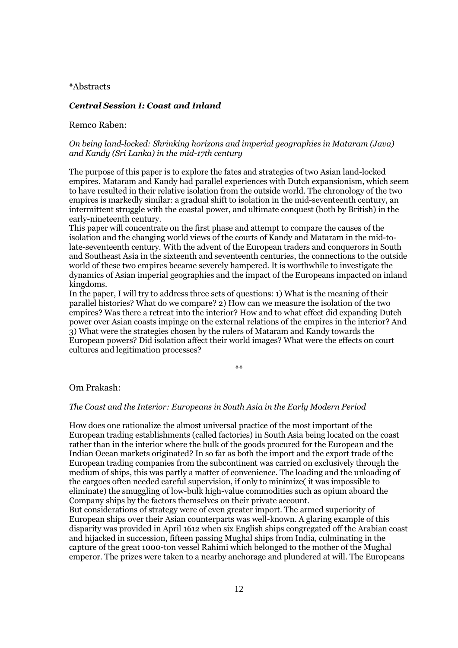#### \*Abstracts

## Central Session I: Coast and Inland

#### Remco Raben:

## On being land-locked: Shrinking horizons and imperial geographies in Mataram (Java) and Kandy (Sri Lanka) in the mid-17th century

The purpose of this paper is to explore the fates and strategies of two Asian land-locked empires. Mataram and Kandy had parallel experiences with Dutch expansionism, which seem to have resulted in their relative isolation from the outside world. The chronology of the two empires is markedly similar: a gradual shift to isolation in the mid-seventeenth century, an intermittent struggle with the coastal power, and ultimate conquest (both by British) in the early-nineteenth century.

This paper will concentrate on the first phase and attempt to compare the causes of the isolation and the changing world views of the courts of Kandy and Mataram in the mid-tolate-seventeenth century. With the advent of the European traders and conquerors in South and Southeast Asia in the sixteenth and seventeenth centuries, the connections to the outside world of these two empires became severely hampered. It is worthwhile to investigate the dynamics of Asian imperial geographies and the impact of the Europeans impacted on inland kingdoms.

In the paper, I will try to address three sets of questions: 1) What is the meaning of their parallel histories? What do we compare? 2) How can we measure the isolation of the two empires? Was there a retreat into the interior? How and to what effect did expanding Dutch power over Asian coasts impinge on the external relations of the empires in the interior? And 3) What were the strategies chosen by the rulers of Mataram and Kandy towards the European powers? Did isolation affect their world images? What were the effects on court cultures and legitimation processes?

\*\*

#### Om Prakash:

#### The Coast and the Interior: Europeans in South Asia in the Early Modern Period

How does one rationalize the almost universal practice of the most important of the European trading establishments (called factories) in South Asia being located on the coast rather than in the interior where the bulk of the goods procured for the European and the Indian Ocean markets originated? In so far as both the import and the export trade of the European trading companies from the subcontinent was carried on exclusively through the medium of ships, this was partly a matter of convenience. The loading and the unloading of the cargoes often needed careful supervision, if only to minimize( it was impossible to eliminate) the smuggling of low-bulk high-value commodities such as opium aboard the Company ships by the factors themselves on their private account.

But considerations of strategy were of even greater import. The armed superiority of European ships over their Asian counterparts was well-known. A glaring example of this disparity was provided in April 1612 when six English ships congregated off the Arabian coast and hijacked in succession, fifteen passing Mughal ships from India, culminating in the capture of the great 1000-ton vessel Rahimi which belonged to the mother of the Mughal emperor. The prizes were taken to a nearby anchorage and plundered at will. The Europeans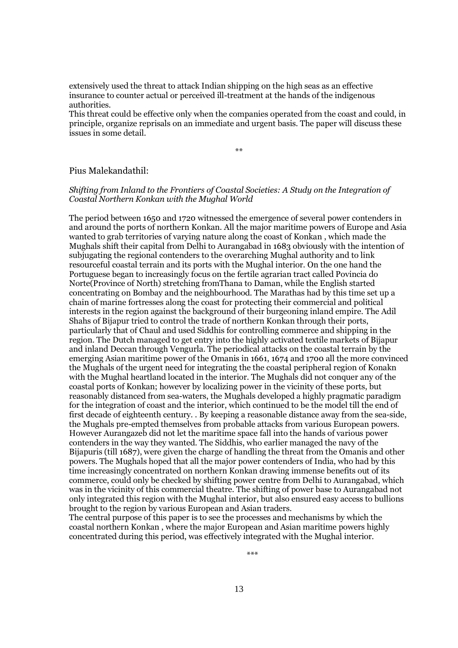extensively used the threat to attack Indian shipping on the high seas as an effective insurance to counter actual or perceived ill-treatment at the hands of the indigenous authorities.

This threat could be effective only when the companies operated from the coast and could, in principle, organize reprisals on an immediate and urgent basis. The paper will discuss these issues in some detail.

\*\*

## Pius Malekandathil:

## Shifting from Inland to the Frontiers of Coastal Societies: A Study on the Integration of Coastal Northern Konkan with the Mughal World

The period between 1650 and 1720 witnessed the emergence of several power contenders in and around the ports of northern Konkan. All the major maritime powers of Europe and Asia wanted to grab territories of varying nature along the coast of Konkan , which made the Mughals shift their capital from Delhi to Aurangabad in 1683 obviously with the intention of subjugating the regional contenders to the overarching Mughal authority and to link resourceful coastal terrain and its ports with the Mughal interior. On the one hand the Portuguese began to increasingly focus on the fertile agrarian tract called Povincia do Norte(Province of North) stretching fromThana to Daman, while the English started concentrating on Bombay and the neighbourhood. The Marathas had by this time set up a chain of marine fortresses along the coast for protecting their commercial and political interests in the region against the background of their burgeoning inland empire. The Adil Shahs of Bijapur tried to control the trade of northern Konkan through their ports, particularly that of Chaul and used Siddhis for controlling commerce and shipping in the region. The Dutch managed to get entry into the highly activated textile markets of Bijapur and inland Deccan through Vengurla. The periodical attacks on the coastal terrain by the emerging Asian maritime power of the Omanis in 1661, 1674 and 1700 all the more convinced the Mughals of the urgent need for integrating the the coastal peripheral region of Konakn with the Mughal heartland located in the interior. The Mughals did not conquer any of the coastal ports of Konkan; however by localizing power in the vicinity of these ports, but reasonably distanced from sea-waters, the Mughals developed a highly pragmatic paradigm for the integration of coast and the interior, which continued to be the model till the end of first decade of eighteenth century. . By keeping a reasonable distance away from the sea-side, the Mughals pre-empted themselves from probable attacks from various European powers. However Aurangazeb did not let the maritime space fall into the hands of various power contenders in the way they wanted. The Siddhis, who earlier managed the navy of the Bijapuris (till 1687), were given the charge of handling the threat from the Omanis and other powers. The Mughals hoped that all the major power contenders of India, who had by this time increasingly concentrated on northern Konkan drawing immense benefits out of its commerce, could only be checked by shifting power centre from Delhi to Aurangabad, which was in the vicinity of this commercial theatre. The shifting of power base to Aurangabad not only integrated this region with the Mughal interior, but also ensured easy access to bullions brought to the region by various European and Asian traders.

The central purpose of this paper is to see the processes and mechanisms by which the coastal northern Konkan , where the major European and Asian maritime powers highly concentrated during this period, was effectively integrated with the Mughal interior.

\*\*\*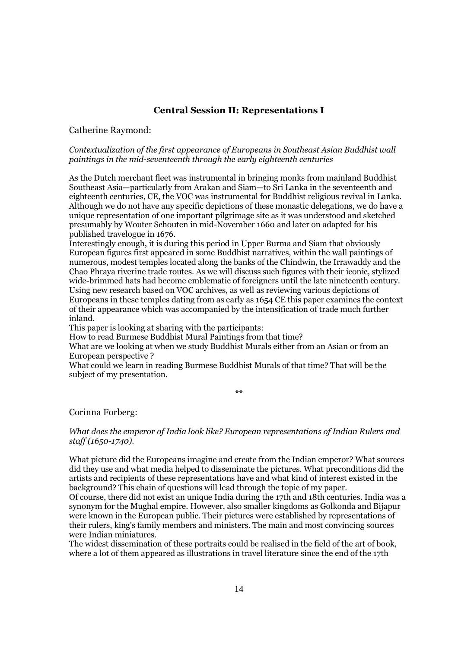## Central Session II: Representations I

## Catherine Raymond:

#### Contextualization of the first appearance of Europeans in Southeast Asian Buddhist wall paintings in the mid-seventeenth through the early eighteenth centuries

As the Dutch merchant fleet was instrumental in bringing monks from mainland Buddhist Southeast Asia—particularly from Arakan and Siam—to Sri Lanka in the seventeenth and eighteenth centuries, CE, the VOC was instrumental for Buddhist religious revival in Lanka. Although we do not have any specific depictions of these monastic delegations, we do have a unique representation of one important pilgrimage site as it was understood and sketched presumably by Wouter Schouten in mid-November 1660 and later on adapted for his published travelogue in 1676.

Interestingly enough, it is during this period in Upper Burma and Siam that obviously European figures first appeared in some Buddhist narratives, within the wall paintings of numerous, modest temples located along the banks of the Chindwin, the Irrawaddy and the Chao Phraya riverine trade routes. As we will discuss such figures with their iconic, stylized wide-brimmed hats had become emblematic of foreigners until the late nineteenth century. Using new research based on VOC archives, as well as reviewing various depictions of Europeans in these temples dating from as early as 1654 CE this paper examines the context of their appearance which was accompanied by the intensification of trade much further inland.

This paper is looking at sharing with the participants:

How to read Burmese Buddhist Mural Paintings from that time?

What are we looking at when we study Buddhist Murals either from an Asian or from an European perspective ?

What could we learn in reading Burmese Buddhist Murals of that time? That will be the subject of my presentation.

\*\*

Corinna Forberg:

### What does the emperor of India look like? European representations of Indian Rulers and staff (1650-1740).

What picture did the Europeans imagine and create from the Indian emperor? What sources did they use and what media helped to disseminate the pictures. What preconditions did the artists and recipients of these representations have and what kind of interest existed in the background? This chain of questions will lead through the topic of my paper.

Of course, there did not exist an unique India during the 17th and 18th centuries. India was a synonym for the Mughal empire. However, also smaller kingdoms as Golkonda and Bijapur were known in the European public. Their pictures were established by representations of their rulers, king's family members and ministers. The main and most convincing sources were Indian miniatures.

The widest dissemination of these portraits could be realised in the field of the art of book, where a lot of them appeared as illustrations in travel literature since the end of the 17th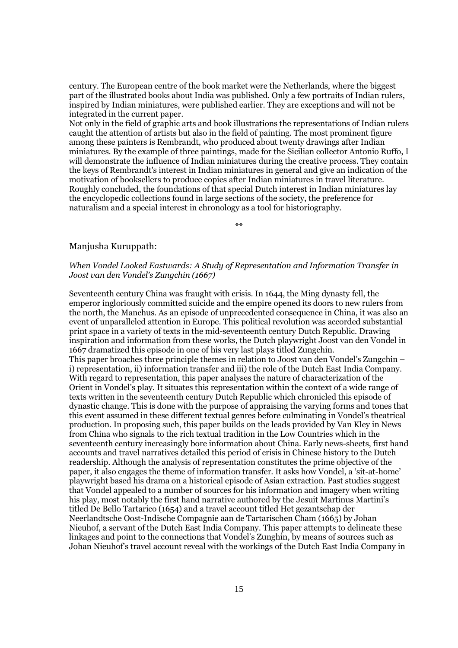century. The European centre of the book market were the Netherlands, where the biggest part of the illustrated books about India was published. Only a few portraits of Indian rulers, inspired by Indian miniatures, were published earlier. They are exceptions and will not be integrated in the current paper.

Not only in the field of graphic arts and book illustrations the representations of Indian rulers caught the attention of artists but also in the field of painting. The most prominent figure among these painters is Rembrandt, who produced about twenty drawings after Indian miniatures. By the example of three paintings, made for the Sicilian collector Antonio Ruffo, I will demonstrate the influence of Indian miniatures during the creative process. They contain the keys of Rembrandt's interest in Indian miniatures in general and give an indication of the motivation of booksellers to produce copies after Indian miniatures in travel literature. Roughly concluded, the foundations of that special Dutch interest in Indian miniatures lay the encyclopedic collections found in large sections of the society, the preference for naturalism and a special interest in chronology as a tool for historiography.

\*\*

### Manjusha Kuruppath:

## When Vondel Looked Eastwards: A Study of Representation and Information Transfer in Joost van den Vondel's Zungchin (1667)

Seventeenth century China was fraught with crisis. In 1644, the Ming dynasty fell, the emperor ingloriously committed suicide and the empire opened its doors to new rulers from the north, the Manchus. As an episode of unprecedented consequence in China, it was also an event of unparalleled attention in Europe. This political revolution was accorded substantial print space in a variety of texts in the mid-seventeenth century Dutch Republic. Drawing inspiration and information from these works, the Dutch playwright Joost van den Vondel in 1667 dramatized this episode in one of his very last plays titled Zungchin. This paper broaches three principle themes in relation to Joost van den Vondel's Zungchin – i) representation, ii) information transfer and iii) the role of the Dutch East India Company. With regard to representation, this paper analyses the nature of characterization of the Orient in Vondel's play. It situates this representation within the context of a wide range of texts written in the seventeenth century Dutch Republic which chronicled this episode of dynastic change. This is done with the purpose of appraising the varying forms and tones that this event assumed in these different textual genres before culminating in Vondel's theatrical production. In proposing such, this paper builds on the leads provided by Van Kley in News from China who signals to the rich textual tradition in the Low Countries which in the seventeenth century increasingly bore information about China. Early news-sheets, first hand accounts and travel narratives detailed this period of crisis in Chinese history to the Dutch readership. Although the analysis of representation constitutes the prime objective of the paper, it also engages the theme of information transfer. It asks how Vondel, a 'sit-at-home' playwright based his drama on a historical episode of Asian extraction. Past studies suggest that Vondel appealed to a number of sources for his information and imagery when writing his play, most notably the first hand narrative authored by the Jesuit Martinus Martini's titled De Bello Tartarico (1654) and a travel account titled Het gezantschap der Neerlandtsche Oost-Indische Compagnie aan de Tartarischen Cham (1665) by Johan Nieuhof, a servant of the Dutch East India Company. This paper attempts to delineate these linkages and point to the connections that Vondel's Zunghin, by means of sources such as Johan Nieuhof's travel account reveal with the workings of the Dutch East India Company in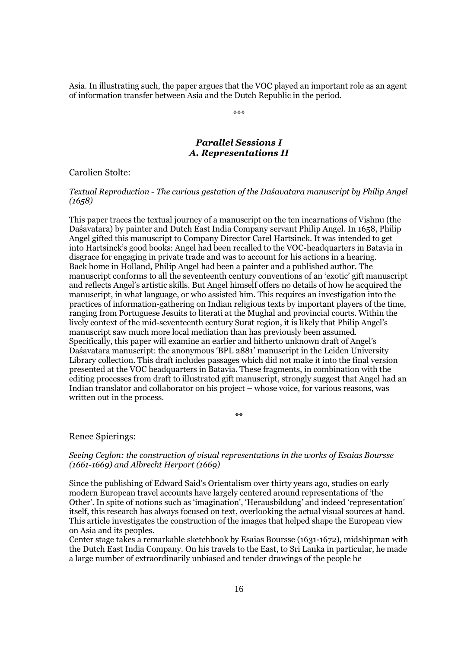Asia. In illustrating such, the paper argues that the VOC played an important role as an agent of information transfer between Asia and the Dutch Republic in the period.

\*\*\*

*Parallel Sessions I A. Representations II* 

Carolien Stolte:

## Textual Reproduction - The curious gestation of the Daśavatara manuscript by Philip Angel  $(1658)$

This paper traces the textual journey of a manuscript on the ten incarnations of Vishnu (the Daśavatara) by painter and Dutch East India Company servant Philip Angel. In 1658, Philip Angel gifted this manuscript to Company Director Carel Hartsinck. It was intended to get into Hartsinck's good books: Angel had been recalled to the VOC-headquarters in Batavia in disgrace for engaging in private trade and was to account for his actions in a hearing. Back home in Holland, Philip Angel had been a painter and a published author. The manuscript conforms to all the seventeenth century conventions of an 'exotic' gift manuscript and reflects Angel's artistic skills. But Angel himself offers no details of how he acquired the manuscript, in what language, or who assisted him. This requires an investigation into the practices of information-gathering on Indian religious texts by important players of the time, ranging from Portuguese Jesuits to literati at the Mughal and provincial courts. Within the lively context of the mid-seventeenth century Surat region, it is likely that Philip Angel's manuscript saw much more local mediation than has previously been assumed. Specifically, this paper will examine an earlier and hitherto unknown draft of Angel's Daśavatara manuscript: the anonymous 'BPL 2881' manuscript in the Leiden University Library collection. This draft includes passages which did not make it into the final version presented at the VOC headquarters in Batavia. These fragments, in combination with the editing processes from draft to illustrated gift manuscript, strongly suggest that Angel had an Indian translator and collaborator on his project – whose voice, for various reasons, was written out in the process.

\*\*

## Renee Spierings:

### Seeing Ceylon: the construction of visual representations in the works of Esaias Boursse (1661-1669) and Albrecht Herport (1669)

Since the publishing of Edward Said's Orientalism over thirty years ago, studies on early modern European travel accounts have largely centered around representations of 'the Other'. In spite of notions such as 'imagination', 'Herausbildung' and indeed 'representation' itself, this research has always focused on text, overlooking the actual visual sources at hand. This article investigates the construction of the images that helped shape the European view on Asia and its peoples.

Center stage takes a remarkable sketchbook by Esaias Boursse (1631-1672), midshipman with the Dutch East India Company. On his travels to the East, to Sri Lanka in particular, he made a large number of extraordinarily unbiased and tender drawings of the people he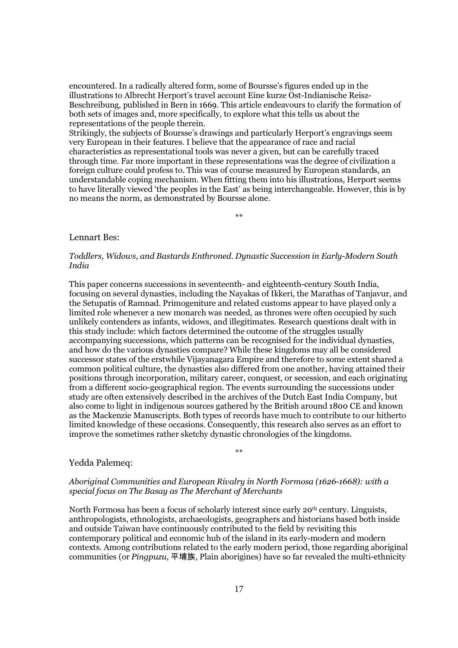encountered. In a radically altered form, some of Boursse's figures ended up in the illustrations to Albrecht Herport's travel account Eine kurze Ost-Indianische Reisz-Beschreibung, published in Bern in 1669. This article endeavours to clarify the formation of both sets of images and, more specifically, to explore what this tells us about the representations of the people therein.

Strikingly, the subjects of Boursse's drawings and particularly Herport's engravings seem very European in their features. I believe that the appearance of race and racial characteristics as representational tools was never a given, but can be carefully traced through time. Far more important in these representations was the degree of civilization a foreign culture could profess to. This was of course measured by European standards, an understandable coping mechanism. When fitting them into his illustrations, Herport seems to have literally viewed 'the peoples in the East' as being interchangeable. However, this is by no means the norm, as demonstrated by Boursse alone.

\*\*

#### Lennart Bes:

### Toddlers, Widows, and Bastards Enthroned. Dynastic Succession in Early-Modern South India

This paper concerns successions in seventeenth- and eighteenth-century South India, focusing on several dynasties, including the Nayakas of Ikkeri, the Marathas of Tanjavur, and the Setupatis of Ramnad. Primogeniture and related customs appear to have played only a limited role whenever a new monarch was needed, as thrones were often occupied by such unlikely contenders as infants, widows, and illegitimates. Research questions dealt with in this study include: which factors determined the outcome of the struggles usually accompanying successions, which patterns can be recognised for the individual dynasties, and how do the various dynasties compare? While these kingdoms may all be considered successor states of the erstwhile Vijayanagara Empire and therefore to some extent shared a common political culture, the dynasties also differed from one another, having attained their positions through incorporation, military career, conquest, or secession, and each originating from a different socio-geographical region. The events surrounding the successions under study are often extensively described in the archives of the Dutch East India Company, but also come to light in indigenous sources gathered by the British around 1800 CE and known as the Mackenzie Manuscripts. Both types of records have much to contribute to our hitherto limited knowledge of these occasions. Consequently, this research also serves as an effort to improve the sometimes rather sketchy dynastic chronologies of the kingdoms.

#### Yedda Palemeq:

#### Aboriginal Communities and European Rivalry in North Formosa (1626-1668): with a special focus on The Basay as The Merchant of Merchants

\*\*

North Formosa has been a focus of scholarly interest since early 20th century. Linguists, anthropologists, ethnologists, archaeologists, geographers and historians based both inside and outside Taiwan have continuously contributed to the field by revisiting this contemporary political and economic hub of the island in its early-modern and modern contexts. Among contributions related to the early modern period, those regarding aboriginal communities (or Pingpuzu, 平埔族, Plain aborigines) have so far revealed the multi-ethnicity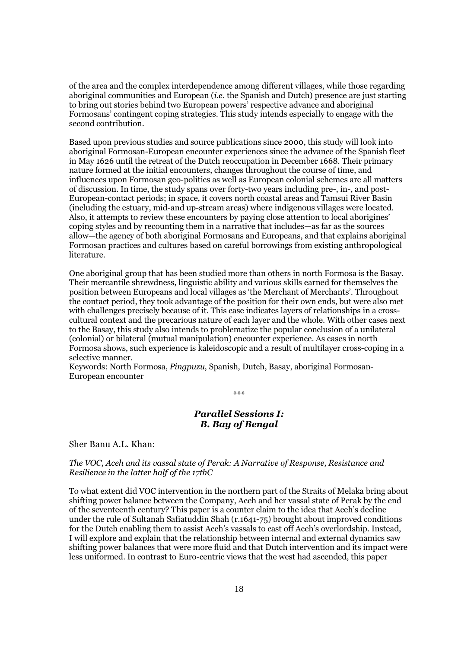of the area and the complex interdependence among different villages, while those regarding aboriginal communities and European *(i.e.* the Spanish and Dutch) presence are just starting to bring out stories behind two European powers' respective advance and aboriginal Formosans' contingent coping strategies. This study intends especially to engage with the second contribution.

Based upon previous studies and source publications since 2000, this study will look into aboriginal Formosan-European encounter experiences since the advance of the Spanish fleet in May 1626 until the retreat of the Dutch reoccupation in December 1668. Their primary nature formed at the initial encounters, changes throughout the course of time, and influences upon Formosan geo-politics as well as European colonial schemes are all matters of discussion. In time, the study spans over forty-two years including pre-, in-, and post-European-contact periods; in space, it covers north coastal areas and Tamsui River Basin (including the estuary, mid-and up-stream areas) where indigenous villages were located. Also, it attempts to review these encounters by paying close attention to local aborigines' coping styles and by recounting them in a narrative that includes—as far as the sources allow—the agency of both aboriginal Formosans and Europeans, and that explains aboriginal Formosan practices and cultures based on careful borrowings from existing anthropological literature.

One aboriginal group that has been studied more than others in north Formosa is the Basay. Their mercantile shrewdness, linguistic ability and various skills earned for themselves the position between Europeans and local villages as 'the Merchant of Merchants'. Throughout the contact period, they took advantage of the position for their own ends, but were also met with challenges precisely because of it. This case indicates layers of relationships in a crosscultural context and the precarious nature of each layer and the whole. With other cases next to the Basay, this study also intends to problematize the popular conclusion of a unilateral (colonial) or bilateral (mutual manipulation) encounter experience. As cases in north Formosa shows, such experience is kaleidoscopic and a result of multilayer cross-coping in a selective manner.

Keywords: North Formosa, Pingpuzu, Spanish, Dutch, Basay, aboriginal Formosan-European encounter

## *Parallel Sessions I: B. Bay of Bengal*

\*\*\*

Sher Banu A.L. Khan:

### The VOC, Aceh and its vassal state of Perak: A Narrative of Response, Resistance and Resilience in the latter half of the 17thC

To what extent did VOC intervention in the northern part of the Straits of Melaka bring about shifting power balance between the Company, Aceh and her vassal state of Perak by the end of the seventeenth century? This paper is a counter claim to the idea that Aceh's decline under the rule of Sultanah Safiatuddin Shah (r.1641-75) brought about improved conditions for the Dutch enabling them to assist Aceh's vassals to cast off Aceh's overlordship. Instead, I will explore and explain that the relationship between internal and external dynamics saw shifting power balances that were more fluid and that Dutch intervention and its impact were less uniformed. In contrast to Euro-centric views that the west had ascended, this paper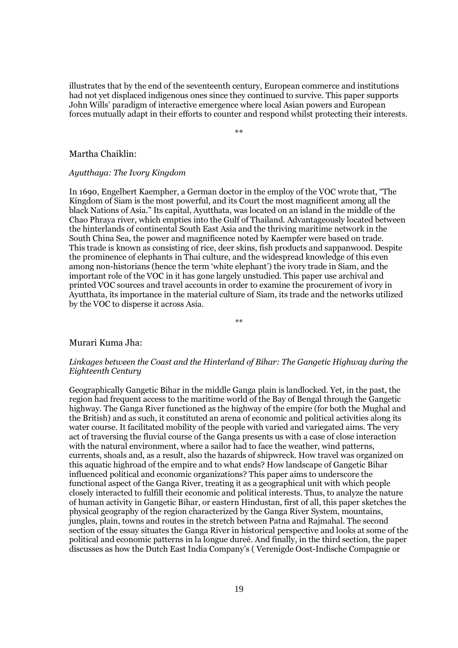illustrates that by the end of the seventeenth century, European commerce and institutions had not yet displaced indigenous ones since they continued to survive. This paper supports John Wills' paradigm of interactive emergence where local Asian powers and European forces mutually adapt in their efforts to counter and respond whilst protecting their interests.

\*\*

#### Martha Chaiklin:

## Ayutthaya: The Ivory Kingdom

In 1690, Engelbert Kaempher, a German doctor in the employ of the VOC wrote that, "The Kingdom of Siam is the most powerful, and its Court the most magnificent among all the black Nations of Asia." Its capital, Ayutthata, was located on an island in the middle of the Chao Phraya river, which empties into the Gulf of Thailand. Advantageously located between the hinterlands of continental South East Asia and the thriving maritime network in the South China Sea, the power and magnificence noted by Kaempfer were based on trade. This trade is known as consisting of rice, deer skins, fish products and sappanwood. Despite the prominence of elephants in Thai culture, and the widespread knowledge of this even among non-historians (hence the term 'white elephant') the ivory trade in Siam, and the important role of the VOC in it has gone largely unstudied. This paper use archival and printed VOC sources and travel accounts in order to examine the procurement of ivory in Ayutthata, its importance in the material culture of Siam, its trade and the networks utilized by the VOC to disperse it across Asia.

\*\*

#### Murari Kuma Jha:

## Linkages between the Coast and the Hinterland of Bihar: The Gangetic Highway during the Eighteenth Century

Geographically Gangetic Bihar in the middle Ganga plain is landlocked. Yet, in the past, the region had frequent access to the maritime world of the Bay of Bengal through the Gangetic highway. The Ganga River functioned as the highway of the empire (for both the Mughal and the British) and as such, it constituted an arena of economic and political activities along its water course. It facilitated mobility of the people with varied and variegated aims. The very act of traversing the fluvial course of the Ganga presents us with a case of close interaction with the natural environment, where a sailor had to face the weather, wind patterns, currents, shoals and, as a result, also the hazards of shipwreck. How travel was organized on this aquatic highroad of the empire and to what ends? How landscape of Gangetic Bihar influenced political and economic organizations? This paper aims to underscore the functional aspect of the Ganga River, treating it as a geographical unit with which people closely interacted to fulfill their economic and political interests. Thus, to analyze the nature of human activity in Gangetic Bihar, or eastern Hindustan, first of all, this paper sketches the physical geography of the region characterized by the Ganga River System, mountains, jungles, plain, towns and routes in the stretch between Patna and Rajmahal. The second section of the essay situates the Ganga River in historical perspective and looks at some of the political and economic patterns in la longue dureé. And finally, in the third section, the paper discusses as how the Dutch East India Company's ( Verenigde Oost-Indische Compagnie or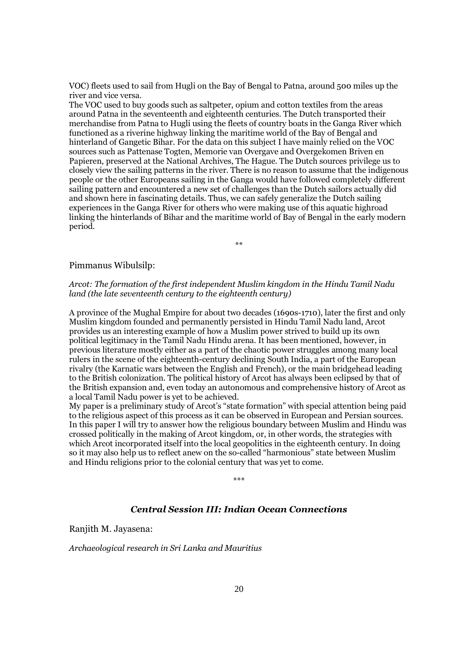VOC) fleets used to sail from Hugli on the Bay of Bengal to Patna, around 500 miles up the river and vice versa.

The VOC used to buy goods such as saltpeter, opium and cotton textiles from the areas around Patna in the seventeenth and eighteenth centuries. The Dutch transported their merchandise from Patna to Hugli using the fleets of country boats in the Ganga River which functioned as a riverine highway linking the maritime world of the Bay of Bengal and hinterland of Gangetic Bihar. For the data on this subject I have mainly relied on the VOC sources such as Pattenase Togten, Memorie van Overgave and Overgekomen Briven en Papieren, preserved at the National Archives, The Hague. The Dutch sources privilege us to closely view the sailing patterns in the river. There is no reason to assume that the indigenous people or the other Europeans sailing in the Ganga would have followed completely different sailing pattern and encountered a new set of challenges than the Dutch sailors actually did and shown here in fascinating details. Thus, we can safely generalize the Dutch sailing experiences in the Ganga River for others who were making use of this aquatic highroad linking the hinterlands of Bihar and the maritime world of Bay of Bengal in the early modern period.

\*\*

#### Pimmanus Wibulsilp:

## Arcot: The formation of the first independent Muslim kingdom in the Hindu Tamil Nadu land (the late seventeenth century to the eighteenth century)

A province of the Mughal Empire for about two decades (1690s-1710), later the first and only Muslim kingdom founded and permanently persisted in Hindu Tamil Nadu land, Arcot provides us an interesting example of how a Muslim power strived to build up its own political legitimacy in the Tamil Nadu Hindu arena. It has been mentioned, however, in previous literature mostly either as a part of the chaotic power struggles among many local rulers in the scene of the eighteenth-century declining South India, a part of the European rivalry (the Karnatic wars between the English and French), or the main bridgehead leading to the British colonization. The political history of Arcot has always been eclipsed by that of the British expansion and, even today an autonomous and comprehensive history of Arcot as a local Tamil Nadu power is yet to be achieved.

My paper is a preliminary study of Arcot's "state formation" with special attention being paid to the religious aspect of this process as it can be observed in European and Persian sources. In this paper I will try to answer how the religious boundary between Muslim and Hindu was crossed politically in the making of Arcot kingdom, or, in other words, the strategies with which Arcot incorporated itself into the local geopolitics in the eighteenth century. In doing so it may also help us to reflect anew on the so-called "harmonious" state between Muslim and Hindu religions prior to the colonial century that was yet to come.

\*\*\*

## *Central Session III: Indian Ocean Connections*

Ranjith M. Jayasena:

Archaeological research in Sri Lanka and Mauritius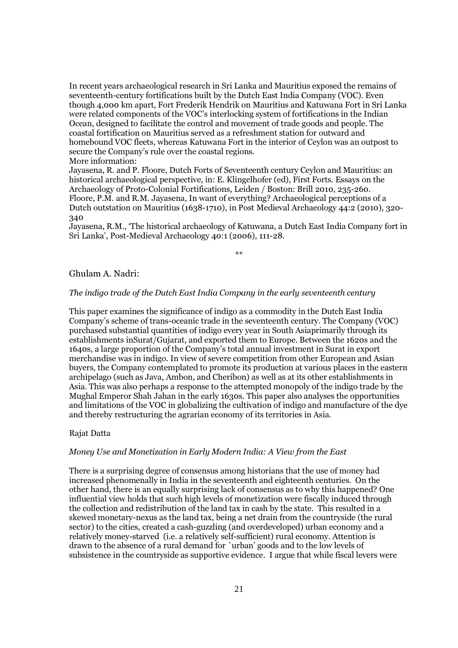In recent years archaeological research in Sri Lanka and Mauritius exposed the remains of seventeenth-century fortifications built by the Dutch East India Company (VOC). Even though 4,000 km apart, Fort Frederik Hendrik on Mauritius and Katuwana Fort in Sri Lanka were related components of the VOC's interlocking system of fortifications in the Indian Ocean, designed to facilitate the control and movement of trade goods and people. The coastal fortification on Mauritius served as a refreshment station for outward and homebound VOC fleets, whereas Katuwana Fort in the interior of Ceylon was an outpost to secure the Company's rule over the coastal regions.

More information:

Jayasena, R. and P. Floore, Dutch Forts of Seventeenth century Ceylon and Mauritius: an historical archaeological perspective, in: E. Klingelhofer (ed), First Forts. Essays on the Archaeology of Proto-Colonial Fortifications, Leiden / Boston: Brill 2010, 235-260. Floore, P.M. and R.M. Jayasena, In want of everything? Archaeological perceptions of a Dutch outstation on Mauritius (1638-1710), in Post Medieval Archaeology 44:2 (2010), 320- 340

Jayasena, R.M., 'The historical archaeology of Katuwana, a Dutch East India Company fort in Sri Lanka', Post-Medieval Archaeology 40:1 (2006), 111-28.

\*\*

#### Ghulam A. Nadri:

#### The indigo trade of the Dutch East India Company in the early seventeenth century

This paper examines the significance of indigo as a commodity in the Dutch East India Company's scheme of trans-oceanic trade in the seventeenth century. The Company (VOC) purchased substantial quantities of indigo every year in South Asiaprimarily through its establishments inSurat/Gujarat, and exported them to Europe. Between the 1620s and the 1640s, a large proportion of the Company's total annual investment in Surat in export merchandise was in indigo. In view of severe competition from other European and Asian buyers, the Company contemplated to promote its production at various places in the eastern archipelago (such as Java, Ambon, and Cheribon) as well as at its other establishments in Asia. This was also perhaps a response to the attempted monopoly of the indigo trade by the Mughal Emperor Shah Jahan in the early 1630s. This paper also analyses the opportunities and limitations of the VOC in globalizing the cultivation of indigo and manufacture of the dye and thereby restructuring the agrarian economy of its territories in Asia.

#### Rajat Datta

#### Money Use and Monetization in Early Modern India: A View from the East

There is a surprising degree of consensus among historians that the use of money had increased phenomenally in India in the seventeenth and eighteenth centuries. On the other hand, there is an equally surprising lack of consensus as to why this happened? One influential view holds that such high levels of monetization were fiscally induced through the collection and redistribution of the land tax in cash by the state. This resulted in a skewed monetary-nexus as the land tax, being a net drain from the countryside (the rural sector) to the cities, created a cash-guzzling (and overdeveloped) urban economy and a relatively money-starved (i.e. a relatively self-sufficient) rural economy. Attention is drawn to the absence of a rural demand for `urban' goods and to the low levels of subsistence in the countryside as supportive evidence. I argue that while fiscal levers were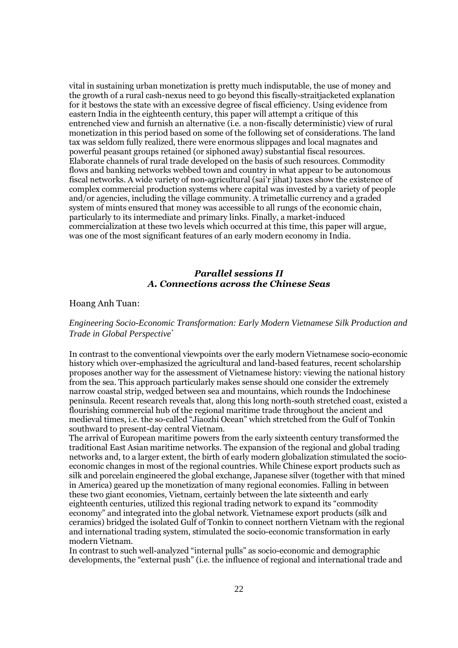vital in sustaining urban monetization is pretty much indisputable, the use of money and the growth of a rural cash-nexus need to go beyond this fiscally-straitjacketed explanation for it bestows the state with an excessive degree of fiscal efficiency. Using evidence from eastern India in the eighteenth century, this paper will attempt a critique of this entrenched view and furnish an alternative (i.e. a non-fiscally deterministic) view of rural monetization in this period based on some of the following set of considerations. The land tax was seldom fully realized, there were enormous slippages and local magnates and powerful peasant groups retained (or siphoned away) substantial fiscal resources. Elaborate channels of rural trade developed on the basis of such resources. Commodity flows and banking networks webbed town and country in what appear to be autonomous fiscal networks. A wide variety of non-agricultural (sai'r jihat) taxes show the existence of complex commercial production systems where capital was invested by a variety of people and/or agencies, including the village community. A trimetallic currency and a graded system of mints ensured that money was accessible to all rungs of the economic chain, particularly to its intermediate and primary links. Finally, a market-induced commercialization at these two levels which occurred at this time, this paper will argue, was one of the most significant features of an early modern economy in India.

## *Parallel sessions II A. Connections across the Chinese Seas*

#### Hoang Anh Tuan:

## *Engineering Socio-Economic Transformation: Early Modern Vietnamese Silk Production and Trade in Global Perspective*\*

In contrast to the conventional viewpoints over the early modern Vietnamese socio-economic history which over-emphasized the agricultural and land-based features, recent scholarship proposes another way for the assessment of Vietnamese history: viewing the national history from the sea. This approach particularly makes sense should one consider the extremely narrow coastal strip, wedged between sea and mountains, which rounds the Indochinese peninsula. Recent research reveals that, along this long north-south stretched coast, existed a flourishing commercial hub of the regional maritime trade throughout the ancient and medieval times, i.e. the so-called "Jiaozhi Ocean" which stretched from the Gulf of Tonkin southward to present-day central Vietnam.

The arrival of European maritime powers from the early sixteenth century transformed the traditional East Asian maritime networks. The expansion of the regional and global trading networks and, to a larger extent, the birth of early modern globalization stimulated the socioeconomic changes in most of the regional countries. While Chinese export products such as silk and porcelain engineered the global exchange, Japanese silver (together with that mined in America) geared up the monetization of many regional economies. Falling in between these two giant economies, Vietnam, certainly between the late sixteenth and early eighteenth centuries, utilized this regional trading network to expand its "commodity economy" and integrated into the global network. Vietnamese export products (silk and ceramics) bridged the isolated Gulf of Tonkin to connect northern Vietnam with the regional and international trading system, stimulated the socio-economic transformation in early modern Vietnam.

In contrast to such well-analyzed "internal pulls" as socio-economic and demographic developments, the "external push" (i.e. the influence of regional and international trade and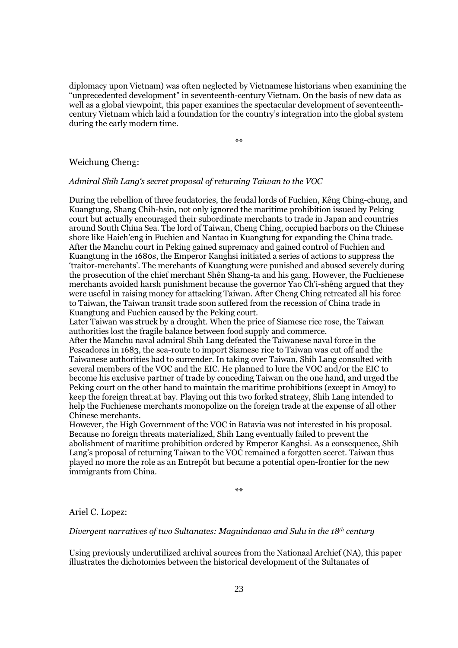diplomacy upon Vietnam) was often neglected by Vietnamese historians when examining the "unprecedented development" in seventeenth-century Vietnam. On the basis of new data as well as a global viewpoint, this paper examines the spectacular development of seventeenthcentury Vietnam which laid a foundation for the country's integration into the global system during the early modern time.

\*\*

#### Weichung Cheng:

Admiral Shih Lang's secret proposal of returning Taiwan to the VOC

During the rebellion of three feudatories, the feudal lords of Fuchien, Kêng Ching-chung, and Kuangtung, Shang Chih-hsin, not only ignored the maritime prohibition issued by Peking court but actually encouraged their subordinate merchants to trade in Japan and countries around South China Sea. The lord of Taiwan, Cheng Ching, occupied harbors on the Chinese shore like Haich'eng in Fuchien and Nantao in Kuangtung for expanding the China trade. After the Manchu court in Peking gained supremacy and gained control of Fuchien and Kuangtung in the 1680s, the Emperor Kanghsi initiated a series of actions to suppress the 'traitor-merchants'. The merchants of Kuangtung were punished and abused severely during the prosecution of the chief merchant Shên Shang-ta and his gang. However, the Fuchienese merchants avoided harsh punishment because the governor Yao Ch'i-shêng argued that they were useful in raising money for attacking Taiwan. After Cheng Ching retreated all his force to Taiwan, the Taiwan transit trade soon suffered from the recession of China trade in Kuangtung and Fuchien caused by the Peking court.

Later Taiwan was struck by a drought. When the price of Siamese rice rose, the Taiwan authorities lost the fragile balance between food supply and commerce.

After the Manchu naval admiral Shih Lang defeated the Taiwanese naval force in the Pescadores in 1683, the sea-route to import Siamese rice to Taiwan was cut off and the Taiwanese authorities had to surrender. In taking over Taiwan, Shih Lang consulted with several members of the VOC and the EIC. He planned to lure the VOC and/or the EIC to become his exclusive partner of trade by conceding Taiwan on the one hand, and urged the Peking court on the other hand to maintain the maritime prohibitions (except in Amoy) to keep the foreign threat.at bay. Playing out this two forked strategy, Shih Lang intended to help the Fuchienese merchants monopolize on the foreign trade at the expense of all other Chinese merchants.

However, the High Government of the VOC in Batavia was not interested in his proposal. Because no foreign threats materialized, Shih Lang eventually failed to prevent the abolishment of maritime prohibition ordered by Emperor Kanghsi. As a consequence, Shih Lang's proposal of returning Taiwan to the VOC remained a forgotten secret. Taiwan thus played no more the role as an Entrepôt but became a potential open-frontier for the new immigrants from China.

 $\mathbf{x}$ 

Ariel C. Lopez:

Divergent narratives of two Sultanates: Maguindanao and Sulu in the  $18<sup>th</sup>$  century

Using previously underutilized archival sources from the Nationaal Archief (NA), this paper illustrates the dichotomies between the historical development of the Sultanates of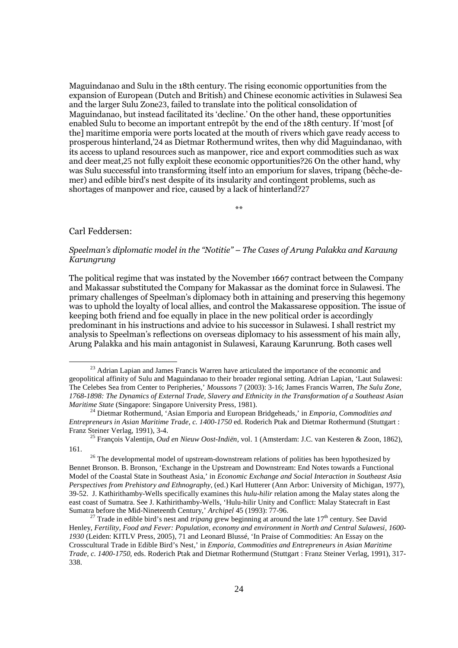Maguindanao and Sulu in the 18th century. The rising economic opportunities from the expansion of European (Dutch and British) and Chinese economic activities in Sulawesi Sea and the larger Sulu Zone23, failed to translate into the political consolidation of Maguindanao, but instead facilitated its 'decline.' On the other hand, these opportunities enabled Sulu to become an important entrepôt by the end of the 18th century. If 'most [of the] maritime emporia were ports located at the mouth of rivers which gave ready access to prosperous hinterland,'24 as Dietmar Rothermund writes, then why did Maguindanao, with its access to upland resources such as manpower, rice and export commodities such as wax and deer meat,25 not fully exploit these economic opportunities?26 On the other hand, why was Sulu successful into transforming itself into an emporium for slaves, tripang (bêche-demer) and edible bird's nest despite of its insularity and contingent problems, such as shortages of manpower and rice, caused by a lack of hinterland?27

\*\*

## Carl Feddersen:

 $\overline{a}$ 

## Speelman's diplomatic model in the "Notitie" – The Cases of Arung Palakka and Karaung Karungrung

The political regime that was instated by the November 1667 contract between the Company and Makassar substituted the Company for Makassar as the dominat force in Sulawesi. The primary challenges of Speelman's diplomacy both in attaining and preserving this hegemony was to uphold the loyalty of local allies, and control the Makassarese opposition. The issue of keeping both friend and foe equally in place in the new political order is accordingly predominant in his instructions and advice to his successor in Sulawesi. I shall restrict my analysis to Speelman's reflections on overseas diplomacy to his assessment of his main ally, Arung Palakka and his main antagonist in Sulawesi, Karaung Karunrung. Both cases well

<sup>&</sup>lt;sup>23</sup> Adrian Lapian and James Francis Warren have articulated the importance of the economic and geopolitical affinity of Sulu and Maguindanao to their broader regional setting. Adrian Lapian, 'Laut Sulawesi: The Celebes Sea from Center to Peripheries,' *Moussons* 7 (2003): 3-16; James Francis Warren, *The Sulu Zone, 1768-1898: The Dynamics of External Trade, Slavery and Ethnicity in the Transformation of a Southeast Asian Maritime State* (Singapore: Singapore University Press, 1981).

<sup>24</sup> Dietmar Rothermund, 'Asian Emporia and European Bridgeheads,' in *Emporia, Commodities and Entrepreneurs in Asian Maritime Trade, c. 1400-1750* ed. Roderich Ptak and Dietmar Rothermund (Stuttgart : Franz Steiner Verlag, 1991), 3-4.

<sup>25</sup> François Valentijn, *Oud en Nieuw Oost-Indiën*, vol. 1 (Amsterdam: J.C. van Kesteren & Zoon, 1862), 161.

<sup>&</sup>lt;sup>26</sup> The developmental model of upstream-downstream relations of polities has been hypothesized by Bennet Bronson. B. Bronson, 'Exchange in the Upstream and Downstream: End Notes towards a Functional Model of the Coastal State in Southeast Asia,' in *Economic Exchange and Social Interaction in Southeast Asia Perspectives from Prehistory and Ethnography,* (ed.) Karl Hutterer (Ann Arbor: University of Michigan, 1977), 39-52. J. Kathirithamby-Wells specifically examines this *hulu-hilir* relation among the Malay states along the east coast of Sumatra. See J. Kathirithamby-Wells, 'Hulu-hilir Unity and Conflict: Malay Statecraft in East Sumatra before the Mid-Nineteenth Century,' *Archipel* 45 (1993): 77-96.

<sup>&</sup>lt;sup>27</sup> Trade in edible bird's nest and *tripang* grew beginning at around the late  $17<sup>th</sup>$  century. See David Henley, *Fertility, Food and Fever: Population, economy and environment in North and Central Sulawesi, 1600- 1930* (Leiden: KITLV Press, 2005), 71 and Leonard Blussé, 'In Praise of Commodities: An Essay on the Crosscultural Trade in Edible Bird's Nest,' in *Emporia, Commodities and Entrepreneurs in Asian Maritime Trade, c. 1400-1750*, eds. Roderich Ptak and Dietmar Rothermund (Stuttgart : Franz Steiner Verlag, 1991), 317- 338.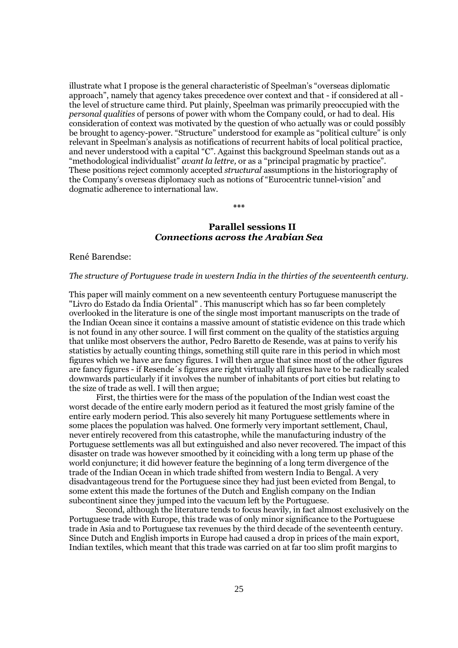illustrate what I propose is the general characteristic of Speelman's "overseas diplomatic approach", namely that agency takes precedence over context and that - if considered at all the level of structure came third. Put plainly, Speelman was primarily preoccupied with the personal qualities of persons of power with whom the Company could, or had to deal. His consideration of context was motivated by the question of who actually was or could possibly be brought to agency-power. "Structure" understood for example as "political culture" is only relevant in Speelman's analysis as notifications of recurrent habits of local political practice, and never understood with a capital "C". Against this background Speelman stands out as a "methodological individualist" *avant la lettre*, or as a "principal pragmatic by practice". These positions reject commonly accepted structural assumptions in the historiography of the Company's overseas diplomacy such as notions of "Eurocentric tunnel-vision" and dogmatic adherence to international law.

## Parallel sessions II *Connections across the Arabian Sea*

\*\*\*

#### René Barendse:

#### The structure of Portuguese trade in western India in the thirties of the seventeenth century.

This paper will mainly comment on a new seventeenth century Portuguese manuscript the "Livro do Estado da Índia Oriental" . This manuscript which has so far been completely overlooked in the literature is one of the single most important manuscripts on the trade of the Indian Ocean since it contains a massive amount of statistic evidence on this trade which is not found in any other source. I will first comment on the quality of the statistics arguing that unlike most observers the author, Pedro Baretto de Resende, was at pains to verify his statistics by actually counting things, something still quite rare in this period in which most figures which we have are fancy figures. I will then argue that since most of the other figures are fancy figures - if Resende´s figures are right virtually all figures have to be radically scaled downwards particularly if it involves the number of inhabitants of port cities but relating to the size of trade as well. I will then argue;

First, the thirties were for the mass of the population of the Indian west coast the worst decade of the entire early modern period as it featured the most grisly famine of the entire early modern period. This also severely hit many Portuguese settlements where in some places the population was halved. One formerly very important settlement, Chaul, never entirely recovered from this catastrophe, while the manufacturing industry of the Portuguese settlements was all but extinguished and also never recovered. The impact of this disaster on trade was however smoothed by it coinciding with a long term up phase of the world conjuncture; it did however feature the beginning of a long term divergence of the trade of the Indian Ocean in which trade shifted from western India to Bengal. A very disadvantageous trend for the Portuguese since they had just been evicted from Bengal, to some extent this made the fortunes of the Dutch and English company on the Indian subcontinent since they jumped into the vacuum left by the Portuguese.

Second, although the literature tends to focus heavily, in fact almost exclusively on the Portuguese trade with Europe, this trade was of only minor significance to the Portuguese trade in Asia and to Portuguese tax revenues by the third decade of the seventeenth century. Since Dutch and English imports in Europe had caused a drop in prices of the main export, Indian textiles, which meant that this trade was carried on at far too slim profit margins to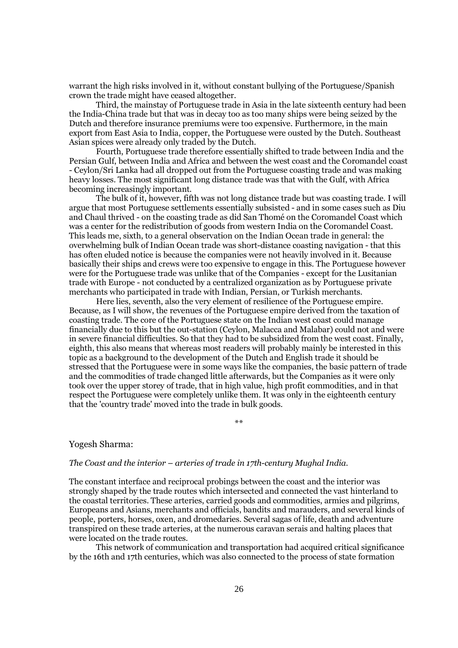warrant the high risks involved in it, without constant bullying of the Portuguese/Spanish crown the trade might have ceased altogether.

Third, the mainstay of Portuguese trade in Asia in the late sixteenth century had been the India-China trade but that was in decay too as too many ships were being seized by the Dutch and therefore insurance premiums were too expensive. Furthermore, in the main export from East Asia to India, copper, the Portuguese were ousted by the Dutch. Southeast Asian spices were already only traded by the Dutch.

Fourth, Portuguese trade therefore essentially shifted to trade between India and the Persian Gulf, between India and Africa and between the west coast and the Coromandel coast - Ceylon/Sri Lanka had all dropped out from the Portuguese coasting trade and was making heavy losses. The most significant long distance trade was that with the Gulf, with Africa becoming increasingly important.

The bulk of it, however, fifth was not long distance trade but was coasting trade. I will argue that most Portuguese settlements essentially subsisted - and in some cases such as Diu and Chaul thrived - on the coasting trade as did San Thomé on the Coromandel Coast which was a center for the redistribution of goods from western India on the Coromandel Coast. This leads me, sixth, to a general observation on the Indian Ocean trade in general: the overwhelming bulk of Indian Ocean trade was short-distance coasting navigation - that this has often eluded notice is because the companies were not heavily involved in it. Because basically their ships and crews were too expensive to engage in this. The Portuguese however were for the Portuguese trade was unlike that of the Companies - except for the Lusitanian trade with Europe - not conducted by a centralized organization as by Portuguese private merchants who participated in trade with Indian, Persian, or Turkish merchants.

Here lies, seventh, also the very element of resilience of the Portuguese empire. Because, as I will show, the revenues of the Portuguese empire derived from the taxation of coasting trade. The core of the Portuguese state on the Indian west coast could manage financially due to this but the out-station (Ceylon, Malacca and Malabar) could not and were in severe financial difficulties. So that they had to be subsidized from the west coast. Finally, eighth, this also means that whereas most readers will probably mainly be interested in this topic as a background to the development of the Dutch and English trade it should be stressed that the Portuguese were in some ways like the companies, the basic pattern of trade and the commodities of trade changed little afterwards, but the Companies as it were only took over the upper storey of trade, that in high value, high profit commodities, and in that respect the Portuguese were completely unlike them. It was only in the eighteenth century that the 'country trade' moved into the trade in bulk goods.

\*\*

#### Yogesh Sharma:

### The Coast and the interior – arteries of trade in 17th-century Mughal India.

The constant interface and reciprocal probings between the coast and the interior was strongly shaped by the trade routes which intersected and connected the vast hinterland to the coastal territories. These arteries, carried goods and commodities, armies and pilgrims, Europeans and Asians, merchants and officials, bandits and marauders, and several kinds of people, porters, horses, oxen, and dromedaries. Several sagas of life, death and adventure transpired on these trade arteries, at the numerous caravan serais and halting places that were located on the trade routes.

This network of communication and transportation had acquired critical significance by the 16th and 17th centuries, which was also connected to the process of state formation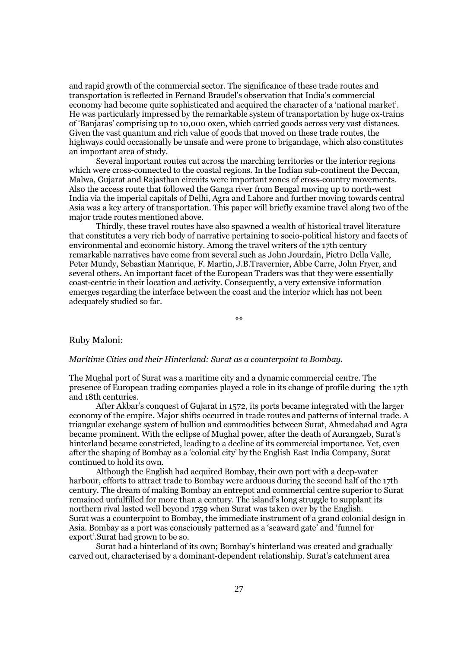and rapid growth of the commercial sector. The significance of these trade routes and transportation is reflected in Fernand Braudel's observation that India's commercial economy had become quite sophisticated and acquired the character of a 'national market'. He was particularly impressed by the remarkable system of transportation by huge ox-trains of 'Banjaras' comprising up to 10,000 oxen, which carried goods across very vast distances. Given the vast quantum and rich value of goods that moved on these trade routes, the highways could occasionally be unsafe and were prone to brigandage, which also constitutes an important area of study.

Several important routes cut across the marching territories or the interior regions which were cross-connected to the coastal regions. In the Indian sub-continent the Deccan, Malwa, Gujarat and Rajasthan circuits were important zones of cross-country movements. Also the access route that followed the Ganga river from Bengal moving up to north-west India via the imperial capitals of Delhi, Agra and Lahore and further moving towards central Asia was a key artery of transportation. This paper will briefly examine travel along two of the major trade routes mentioned above.

Thirdly, these travel routes have also spawned a wealth of historical travel literature that constitutes a very rich body of narrative pertaining to socio-political history and facets of environmental and economic history. Among the travel writers of the 17th century remarkable narratives have come from several such as John Jourdain, Pietro Della Valle, Peter Mundy, Sebastian Manrique, F. Martin, J.B.Travernier, Abbe Carre, John Fryer, and several others. An important facet of the European Traders was that they were essentially coast-centric in their location and activity. Consequently, a very extensive information emerges regarding the interface between the coast and the interior which has not been adequately studied so far.

\*\*

#### Ruby Maloni:

#### Maritime Cities and their Hinterland: Surat as a counterpoint to Bombay.

The Mughal port of Surat was a maritime city and a dynamic commercial centre. The presence of European trading companies played a role in its change of profile during the 17th and 18th centuries.

After Akbar's conquest of Gujarat in 1572, its ports became integrated with the larger economy of the empire. Major shifts occurred in trade routes and patterns of internal trade. A triangular exchange system of bullion and commodities between Surat, Ahmedabad and Agra became prominent. With the eclipse of Mughal power, after the death of Aurangzeb, Surat's hinterland became constricted, leading to a decline of its commercial importance. Yet, even after the shaping of Bombay as a 'colonial city' by the English East India Company, Surat continued to hold its own.

Although the English had acquired Bombay, their own port with a deep-water harbour, efforts to attract trade to Bombay were arduous during the second half of the 17th century. The dream of making Bombay an entrepot and commercial centre superior to Surat remained unfulfilled for more than a century. The island's long struggle to supplant its northern rival lasted well beyond 1759 when Surat was taken over by the English. Surat was a counterpoint to Bombay, the immediate instrument of a grand colonial design in Asia. Bombay as a port was consciously patterned as a 'seaward gate' and 'funnel for export'.Surat had grown to be so.

Surat had a hinterland of its own; Bombay's hinterland was created and gradually carved out, characterised by a dominant-dependent relationship. Surat's catchment area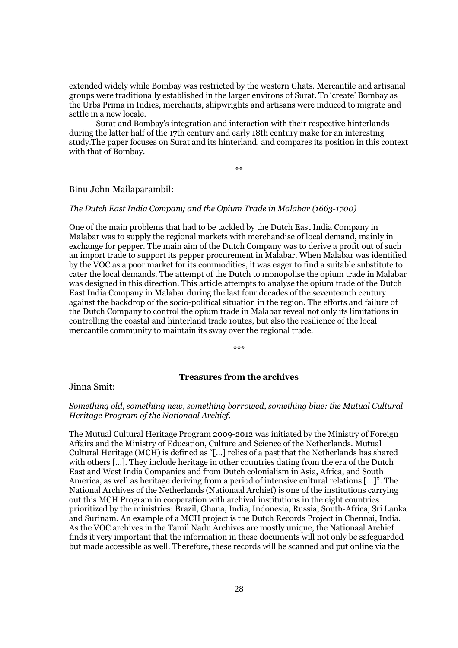extended widely while Bombay was restricted by the western Ghats. Mercantile and artisanal groups were traditionally established in the larger environs of Surat. To 'create' Bombay as the Urbs Prima in Indies, merchants, shipwrights and artisans were induced to migrate and settle in a new locale.

Surat and Bombay's integration and interaction with their respective hinterlands during the latter half of the 17th century and early 18th century make for an interesting study.The paper focuses on Surat and its hinterland, and compares its position in this context with that of Bombay.

\*\*

### Binu John Mailaparambil:

#### The Dutch East India Company and the Opium Trade in Malabar (1663-1700)

One of the main problems that had to be tackled by the Dutch East India Company in Malabar was to supply the regional markets with merchandise of local demand, mainly in exchange for pepper. The main aim of the Dutch Company was to derive a profit out of such an import trade to support its pepper procurement in Malabar. When Malabar was identified by the VOC as a poor market for its commodities, it was eager to find a suitable substitute to cater the local demands. The attempt of the Dutch to monopolise the opium trade in Malabar was designed in this direction. This article attempts to analyse the opium trade of the Dutch East India Company in Malabar during the last four decades of the seventeenth century against the backdrop of the socio-political situation in the region. The efforts and failure of the Dutch Company to control the opium trade in Malabar reveal not only its limitations in controlling the coastal and hinterland trade routes, but also the resilience of the local mercantile community to maintain its sway over the regional trade.

\*\*\*

## Treasures from the archives

Jinna Smit:

### Something old, something new, something borrowed, something blue: the Mutual Cultural Heritage Program of the Nationaal Archief.

The Mutual Cultural Heritage Program 2009-2012 was initiated by the Ministry of Foreign Affairs and the Ministry of Education, Culture and Science of the Netherlands. Mutual Cultural Heritage (MCH) is defined as "[…] relics of a past that the Netherlands has shared with others […]. They include heritage in other countries dating from the era of the Dutch East and West India Companies and from Dutch colonialism in Asia, Africa, and South America, as well as heritage deriving from a period of intensive cultural relations […]". The National Archives of the Netherlands (Nationaal Archief) is one of the institutions carrying out this MCH Program in cooperation with archival institutions in the eight countries prioritized by the ministries: Brazil, Ghana, India, Indonesia, Russia, South-Africa, Sri Lanka and Surinam. An example of a MCH project is the Dutch Records Project in Chennai, India. As the VOC archives in the Tamil Nadu Archives are mostly unique, the Nationaal Archief finds it very important that the information in these documents will not only be safeguarded but made accessible as well. Therefore, these records will be scanned and put online via the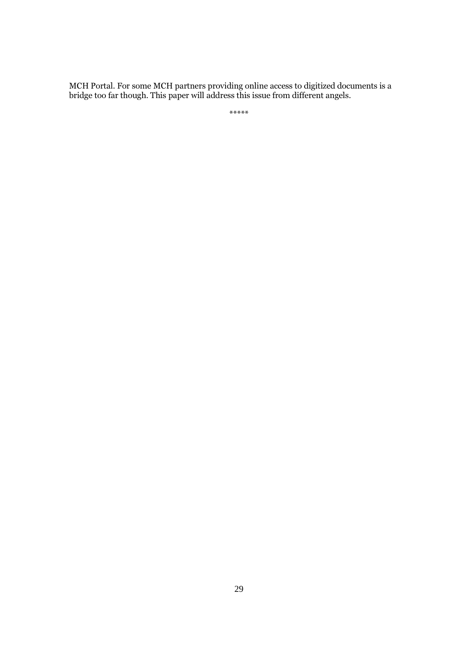MCH Portal. For some MCH partners providing online access to digitized documents is a bridge too far though. This paper will address this issue from different angels.

\*\*\*\*\*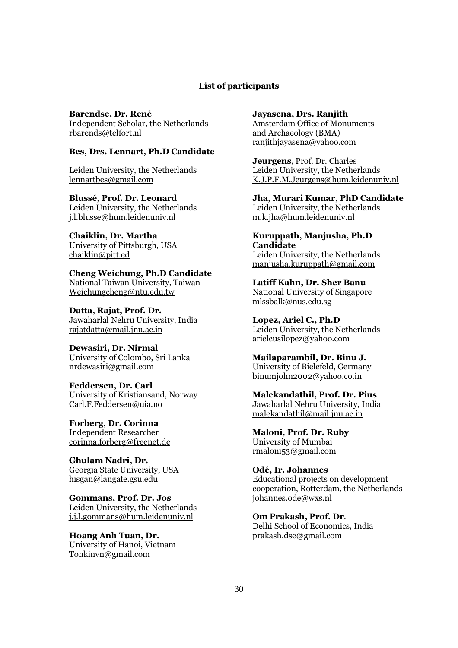## List of participants

Barendse, Dr. René Independent Scholar, the Netherlands rbarends@telfort.nl

## Bes, Drs. Lennart, Ph.D Candidate

Leiden University, the Netherlands lennartbes@gmail.com

Blussé, Prof. Dr. Leonard Leiden University, the Netherlands j.l.blusse@hum.leidenuniv.nl

Chaiklin, Dr. Martha University of Pittsburgh, USA chaiklin@pitt.ed

Cheng Weichung, Ph.D Candidate National Taiwan University, Taiwan Weichungcheng@ntu.edu.tw

Datta, Rajat, Prof. Dr. Jawaharlal Nehru University, India rajatdatta@mail.jnu.ac.in

Dewasiri, Dr. Nirmal University of Colombo, Sri Lanka nrdewasiri@gmail.com

Feddersen, Dr. Carl University of Kristiansand, Norway Carl.F.Feddersen@uia.no

Forberg, Dr. Corinna Independent Researcher corinna.forberg@freenet.de

Ghulam Nadri, Dr. Georgia State University, USA hisgan@langate.gsu.edu

Gommans, Prof. Dr. Jos Leiden University, the Netherlands j.j.l.gommans@hum.leidenuniv.nl

Hoang Anh Tuan, Dr. University of Hanoi, Vietnam Tonkinvn@gmail.com

Jayasena, Drs. Ranjith

Amsterdam Office of Monuments and Archaeology (BMA) ranjithjayasena@yahoo.com

Jeurgens, Prof. Dr. Charles Leiden University, the Netherlands K.J.P.F.M.Jeurgens@hum.leidenuniv.nl

Jha, Murari Kumar, PhD Candidate Leiden University, the Netherlands m.k.jha@hum.leidenuniv.nl

Kuruppath, Manjusha, Ph.D **Candidate** Leiden University, the Netherlands manjusha.kuruppath@gmail.com

Latiff Kahn, Dr. Sher Banu National University of Singapore mlssbalk@nus.edu.sg

Lopez, Ariel C., Ph.D Leiden University, the Netherlands arielcusilopez@yahoo.com

Mailaparambil, Dr. Binu J. University of Bielefeld, Germany binumjohn2002@yahoo.co.in

Malekandathil, Prof. Dr. Pius Jawaharlal Nehru University, India malekandathil@mail.jnu.ac.in

Maloni, Prof. Dr. Ruby University of Mumbai rmaloni53@gmail.com

Odé, Ir. Johannes Educational projects on development cooperation, Rotterdam, the Netherlands johannes.ode@wxs.nl

Om Prakash, Prof. Dr. Delhi School of Economics, India prakash.dse@gmail.com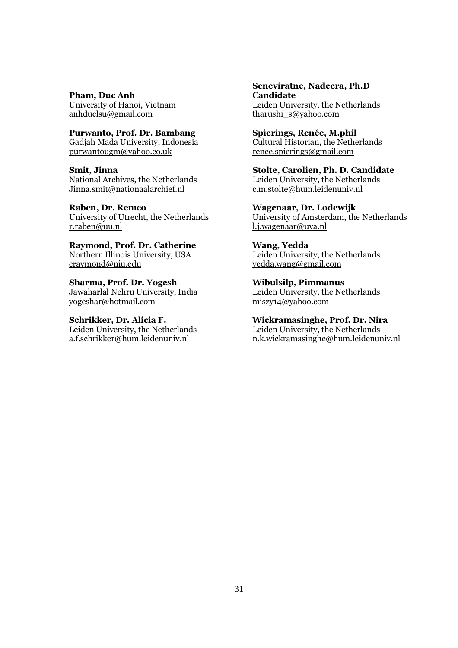Pham, Duc Anh

University of Hanoi, Vietnam anhduclsu@gmail.com

## Purwanto, Prof. Dr. Bambang

Gadjah Mada University, Indonesia purwantougm@yahoo.co.uk

#### Smit, Jinna

National Archives, the Netherlands Jinna.smit@nationaalarchief.nl

## Raben, Dr. Remco

University of Utrecht, the Netherlands r.raben@uu.nl

Raymond, Prof. Dr. Catherine Northern Illinois University, USA craymond@niu.edu

Sharma, Prof. Dr. Yogesh Jawaharlal Nehru University, India yogeshar@hotmail.com

## Schrikker, Dr. Alicia F.

Leiden University, the Netherlands a.f.schrikker@hum.leidenuniv.nl

#### Seneviratne, Nadeera, Ph.D Candidate Leiden University, the Netherlands

tharushi\_s@yahoo.com

## Spierings, Renée, M.phil

Cultural Historian, the Netherlands renee.spierings@gmail.com

# Stolte, Carolien, Ph. D. Candidate

Leiden University, the Netherlands c.m.stolte@hum.leidenuniv.nl

### Wagenaar, Dr. Lodewijk

University of Amsterdam, the Netherlands l.j.wagenaar@uva.nl

## Wang, Yedda Leiden University, the Netherlands yedda.wang@gmail.com

Wibulsilp, Pimmanus Leiden University, the Netherlands miszy14@yahoo.com

#### Wickramasinghe, Prof. Dr. Nira Leiden University, the Netherlands

n.k.wickramasinghe@hum.leidenuniv.nl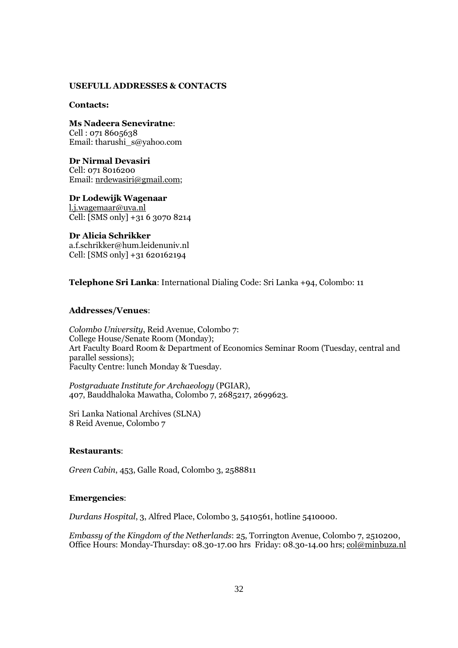#### USEFULL ADDRESSES & CONTACTS

#### Contacts:

Ms Nadeera Seneviratne: Cell : 071 8605638 Email: tharushi\_s@yahoo.com

Dr Nirmal Devasiri Cell: 071 8016200 Email: nrdewasiri@gmail.com;

Dr Lodewijk Wagenaar l.j.wagemaar@uva.nl Cell: [SMS only] +31 6 3070 8214

Dr Alicia Schrikker a.f.schrikker@hum.leidenuniv.nl Cell: [SMS only] +31 620162194

Telephone Sri Lanka: International Dialing Code: Sri Lanka +94, Colombo: 11

## Addresses/Venues:

Colombo University, Reid Avenue, Colombo 7: College House/Senate Room (Monday); Art Faculty Board Room & Department of Economics Seminar Room (Tuesday, central and parallel sessions); Faculty Centre: lunch Monday & Tuesday.

Postgraduate Institute for Archaeology (PGIAR), 407, Bauddhaloka Mawatha, Colombo 7, 2685217, 2699623.

Sri Lanka National Archives (SLNA) 8 Reid Avenue, Colombo 7

#### Restaurants:

Green Cabin, 453, Galle Road, Colombo 3, 2588811

#### Emergencies:

Durdans Hospital, 3, Alfred Place, Colombo 3, 5410561, hotline 5410000.

Embassy of the Kingdom of the Netherlands: 25, Torrington Avenue, Colombo 7, 2510200, Office Hours: Monday-Thursday: 08.30-17.00 hrs Friday: 08.30-14.00 hrs; col@minbuza.nl